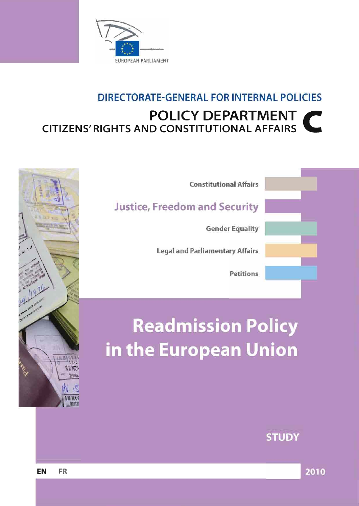

## DIRECTORATE-GENERAL FOR INTERNAL POLICIES POLICY DEPARTMENT **CITIZENS' RIGHTS AND CONSTITUTIONAL AFFAIRS**



# **Readmission Policy** in the European Union



**STUDY** 

**EN FR**  2010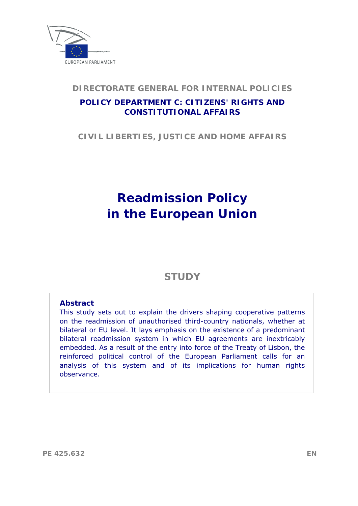

## **DIRECTORATE GENERAL FOR INTERNAL POLICIES**

## **POLICY DEPARTMENT C: CITIZENS' RIGHTS AND CONSTITUTIONAL AFFAIRS**

**CIVIL LIBERTIES, JUSTICE AND HOME AFFAIRS** 

## **Readmission Policy in the European Union**

## **STUDY**

## **Abstract**

This study sets out to explain the drivers shaping cooperative patterns on the readmission of unauthorised third-country nationals, whether at bilateral or EU level. It lays emphasis on the existence of a predominant bilateral readmission system in which EU agreements are inextricably embedded. As a result of the entry into force of the Treaty of Lisbon, the reinforced political control of the European Parliament calls for an analysis of this system and of its implications for human rights observance.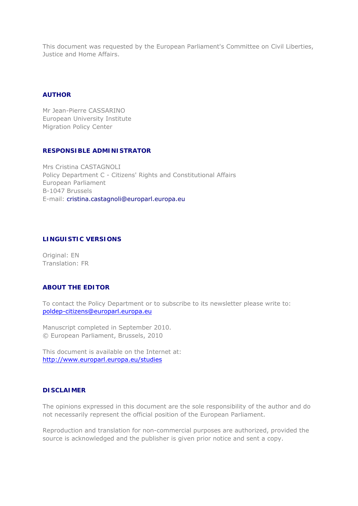This document was requested by the European Parliament's Committee on Civil Liberties, Justice and Home Affairs.

#### **AUTHOR**

Mr Jean-Pierre CASSARINO European University Institute Migration Policy Center

#### **RESPONSIBLE ADMINISTRATOR**

Mrs Cristina CASTAGNOLI Policy Department C - Citizens' Rights and Constitutional Affairs European Parliament B-1047 Brussels E-mail: cristina.castagnoli@europarl.europa.eu

#### **LINGUISTIC VERSIONS**

Original: EN Translation: FR

#### **ABOUT THE EDITOR**

To contact the Policy Department or to subscribe to its newsletter please write to: [poldep-citizens@europarl.europa.eu](mailto:poldep-citizens@europarl.europa.eu)

Manuscript completed in September 2010. © European Parliament, Brussels, 2010

This document is available on the Internet at: <http://www.europarl.europa.eu/studies>

#### **DISCLAIMER**

The opinions expressed in this document are the sole responsibility of the author and do not necessarily represent the official position of the European Parliament.

Reproduction and translation for non-commercial purposes are authorized, provided the source is acknowledged and the publisher is given prior notice and sent a copy.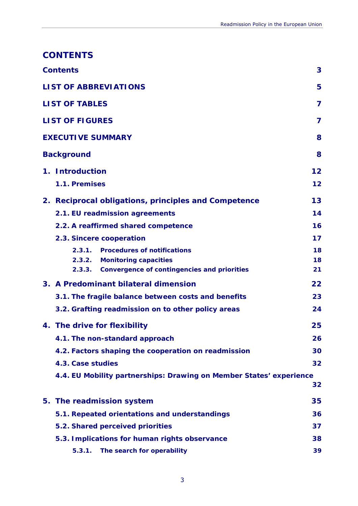<span id="page-4-0"></span>

| <b>CONTENTS</b>                                                     |                         |
|---------------------------------------------------------------------|-------------------------|
| <b>Contents</b>                                                     | 3                       |
| <b>LIST OF ABBREVIATIONS</b>                                        | 5                       |
| <b>LIST OF TABLES</b>                                               | $\overline{\mathbf{z}}$ |
| <b>LIST OF FIGURES</b>                                              | 7                       |
| <b>EXECUTIVE SUMMARY</b>                                            | 8                       |
| <b>Background</b>                                                   | 8                       |
| 1. Introduction                                                     | 12                      |
| 1.1. Premises                                                       | 12                      |
| 2. Reciprocal obligations, principles and Competence                | 13                      |
| 2.1. EU readmission agreements                                      | 14                      |
| 2.2. A reaffirmed shared competence                                 | 16                      |
| 2.3. Sincere cooperation                                            | 17                      |
| <b>Procedures of notifications</b><br>2.3.1.                        | 18                      |
| 2.3.2. Monitoring capacities                                        | 18                      |
| 2.3.3.<br><b>Convergence of contingencies and priorities</b>        | 21                      |
| 3. A Predominant bilateral dimension                                | 22                      |
| 3.1. The fragile balance between costs and benefits                 | 23                      |
| 3.2. Grafting readmission on to other policy areas                  | 24                      |
| 4. The drive for flexibility                                        | 25                      |
| 4.1. The non-standard approach                                      | 26                      |
| 4.2. Factors shaping the cooperation on readmission                 | 30                      |
| 4.3. Case studies                                                   | 32                      |
| 4.4. EU Mobility partnerships: Drawing on Member States' experience |                         |
|                                                                     | 32                      |
| 5. The readmission system                                           | 35                      |
| 5.1. Repeated orientations and understandings                       | 36                      |
| 5.2. Shared perceived priorities                                    | 37                      |
| 5.3. Implications for human rights observance                       | 38                      |
| The search for operability<br>5.3.1.                                | 39                      |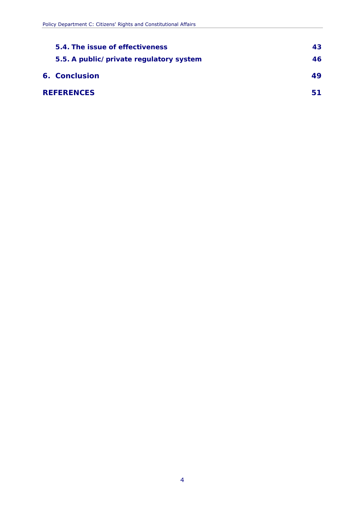| 5.4. The issue of effectiveness         | 43 |
|-----------------------------------------|----|
| 5.5. A public/private regulatory system | 46 |
| <b>6. Conclusion</b>                    | 49 |
| <b>REFERENCES</b>                       | 51 |
|                                         |    |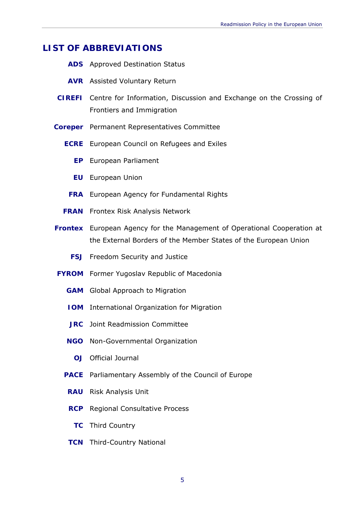## <span id="page-6-0"></span>**LIST OF ABBREVIATIONS**

- **ADS** Approved Destination Status
- **AVR** Assisted Voluntary Return
- **CIREFI** Centre for Information, Discussion and Exchange on the Crossing of Frontiers and Immigration
- **Coreper** Permanent Representatives Committee
	- **ECRE** European Council on Refugees and Exiles
		- **EP** European Parliament
		- **EU** European Union
		- **FRA** European Agency for Fundamental Rights
	- **FRAN** Frontex Risk Analysis Network
- **Frontex** European Agency for the Management of Operational Cooperation at the External Borders of the Member States of the European Union
	- **FSJ** Freedom Security and Justice
- **FYROM** Former Yugoslav Republic of Macedonia
	- **GAM** Global Approach to Migration
	- **IOM** International Organization for Migration
	- **JRC** Joint Readmission Committee
	- **NGO** Non-Governmental Organization
		- **OJ** Official Journal
	- **PACE** Parliamentary Assembly of the Council of Europe
	- **RAU** Risk Analysis Unit
	- **RCP** Regional Consultative Process
		- **TC** Third Country
	- **TCN** Third-Country National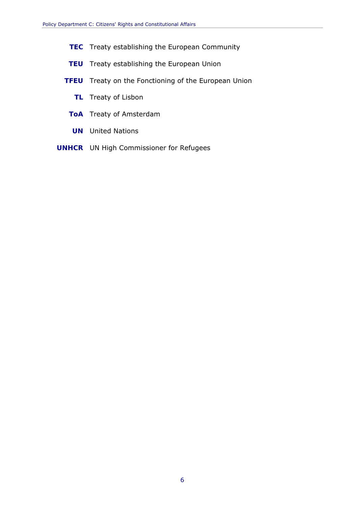- **TEC** Treaty establishing the European Community
- **TEU** Treaty establishing the European Union
- **TFEU** Treaty on the Fonctioning of the European Union
	- **TL** Treaty of Lisbon
	- **ToA** Treaty of Amsterdam
	- **UN** United Nations
- **UNHCR** UN High Commissioner for Refugees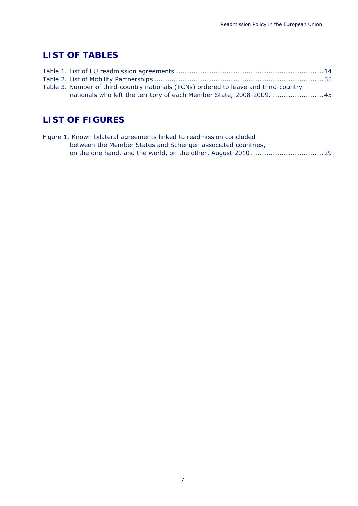## <span id="page-8-0"></span>**LIST OF TABLES**

| Table 3. Number of third-country nationals (TCNs) ordered to leave and third-country |  |
|--------------------------------------------------------------------------------------|--|
| nationals who left the territory of each Member State, 2008-2009.  45                |  |

## <span id="page-8-1"></span>**LIST OF FIGURES**

| Figure 1. Known bilateral agreements linked to readmission concluded |  |
|----------------------------------------------------------------------|--|
| between the Member States and Schengen associated countries,         |  |
|                                                                      |  |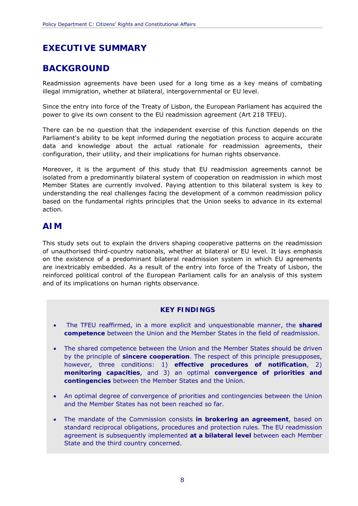## <span id="page-9-0"></span>**EXECUTIVE SUMMARY**

## <span id="page-9-1"></span>**BACKGROUND**

Readmission agreements have been used for a long time as a key means of combating illegal immigration, whether at bilateral, intergovernmental or EU level.

Since the entry into force of the Treaty of Lisbon, the European Parliament has acquired the power to give its own consent to the EU readmission agreement (Art 218 TFEU).

There can be no question that the independent exercise of this function depends on the Parliament's ability to be kept informed during the negotiation process to acquire accurate data and knowledge about the actual rationale for readmission agreements, their configuration, their utility, and their implications for human rights observance.

Moreover, it is the argument of this study that EU readmission agreements cannot be isolated from a predominantly bilateral system of cooperation on readmission in which most Member States are currently involved. Paying attention to this bilateral system is key to understanding the real challenges facing the development of a common readmission policy based on the fundamental rights principles that the Union seeks to advance in its external action.

## **AIM**

This study sets out to explain the drivers shaping cooperative patterns on the readmission of unauthorised third-country nationals, whether at bilateral or EU level. It lays emphasis on the existence of a predominant bilateral readmission system in which EU agreements are inextricably embedded. As a result of the entry into force of the Treaty of Lisbon, the reinforced political control of the European Parliament calls for an analysis of this system and of its implications on human rights observance.

#### **KEY FINDINGS**

- The TFEU reaffirmed, in a more explicit and unquestionable manner, the **shared competence** between the Union and the Member States in the field of readmission.
- The shared competence between the Union and the Member States should be driven by the principle of **sincere cooperation**. The respect of this principle presupposes, however, three conditions: 1) **effective procedures of notification**, 2) **monitoring capacities**, and 3) an optimal **convergence of priorities and contingencies** between the Member States and the Union.
- An optimal degree of convergence of priorities and contingencies between the Union and the Member States has not been reached so far.
- The mandate of the Commission consists **in brokering an agreement**, based on standard reciprocal obligations, procedures and protection rules. The EU readmission agreement is subsequently implemented **at a bilateral level** between each Member State and the third country concerned.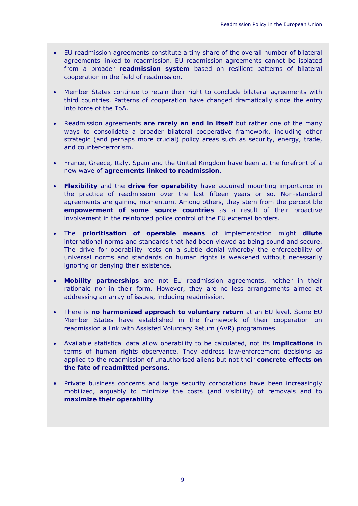- EU readmission agreements constitute a tiny share of the overall number of bilateral agreements linked to readmission. EU readmission agreements cannot be isolated from a broader **readmission system** based on resilient patterns of bilateral cooperation in the field of readmission.
- Member States continue to retain their right to conclude bilateral agreements with third countries. Patterns of cooperation have changed dramatically since the entry into force of the ToA.
- Readmission agreements **are rarely an end in itself** but rather one of the many ways to consolidate a broader bilateral cooperative framework, including other strategic (and perhaps more crucial) policy areas such as security, energy, trade, and counter-terrorism.
- France, Greece, Italy, Spain and the United Kingdom have been at the forefront of a new wave of **agreements linked to readmission**.
- **Flexibility** and the **drive for operability** have acquired mounting importance in the practice of readmission over the last fifteen years or so. Non-standard agreements are gaining momentum. Among others, they stem from the perceptible **empowerment of some source countries** as a result of their proactive involvement in the reinforced police control of the EU external borders.
- The **prioritisation of operable means** of implementation might **dilute** international norms and standards that had been viewed as being sound and secure. The drive for operability rests on a subtle denial whereby the enforceability of universal norms and standards on human rights is weakened without necessarily ignoring or denying their existence.
- **Mobility partnerships** are not EU readmission agreements, neither in their rationale nor in their form. However, they are no less arrangements aimed at addressing an array of issues, including readmission.
- There is **no harmonized approach to voluntary return** at an EU level. Some EU Member States have established in the framework of their cooperation on readmission a link with Assisted Voluntary Return (AVR) programmes.
- Available statistical data allow operability to be calculated, not its **implications** in terms of human rights observance. They address law-enforcement decisions as applied to the readmission of unauthorised aliens but not their **concrete effects on the fate of readmitted persons**.
- Private business concerns and large security corporations have been increasingly mobilized, arguably to minimize the costs (and visibility) of removals and to **maximize their operability**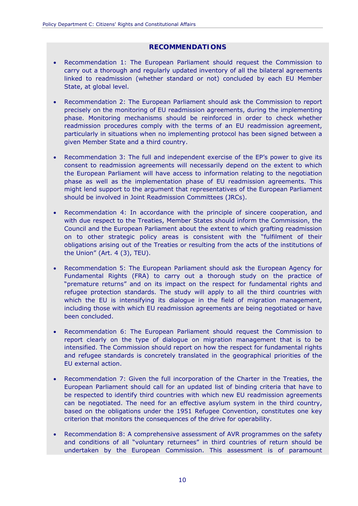#### **RECOMMENDATIONS**

- Recommendation 1: The European Parliament should request the Commission to carry out a thorough and regularly updated inventory of all the bilateral agreements linked to readmission (whether standard or not) concluded by each EU Member State, at global level.
- Recommendation 2: The European Parliament should ask the Commission to report precisely on the monitoring of EU readmission agreements, during the implementing phase. Monitoring mechanisms should be reinforced in order to check whether readmission procedures comply with the terms of an EU readmission agreement, particularly in situations when no implementing protocol has been signed between a given Member State and a third country.
- Recommendation 3: The full and independent exercise of the EP's power to give its consent to readmission agreements will necessarily depend on the extent to which the European Parliament will have access to information relating to the negotiation phase as well as the implementation phase of EU readmission agreements. This might lend support to the argument that representatives of the European Parliament should be involved in Joint Readmission Committees (JRCs).
- Recommendation 4: In accordance with the principle of sincere cooperation, and with due respect to the Treaties, Member States should inform the Commission, the Council and the European Parliament about the extent to which grafting readmission on to other strategic policy areas is consistent with the "fulfilment of their obligations arising out of the Treaties or resulting from the acts of the institutions of the Union" (Art. 4 (3), TEU).
- Recommendation 5: The European Parliament should ask the European Agency for Fundamental Rights (FRA) to carry out a thorough study on the practice of "premature returns" and on its impact on the respect for fundamental rights and refugee protection standards. The study will apply to all the third countries with which the EU is intensifying its dialogue in the field of migration management, including those with which EU readmission agreements are being negotiated or have been concluded.
- Recommendation 6: The European Parliament should request the Commission to report clearly on the type of dialogue on migration management that is to be intensified. The Commission should report on how the respect for fundamental rights and refugee standards is concretely translated in the geographical priorities of the EU external action.
- Recommendation 7: Given the full incorporation of the Charter in the Treaties, the European Parliament should call for an updated list of binding criteria that have to be respected to identify third countries with which new EU readmission agreements can be negotiated. The need for an effective asylum system in the third country, based on the obligations under the 1951 Refugee Convention, constitutes one key criterion that monitors the consequences of the drive for operability.
- Recommendation 8: A comprehensive assessment of AVR programmes on the safety and conditions of all "voluntary returnees" in third countries of return should be undertaken by the European Commission. This assessment is of paramount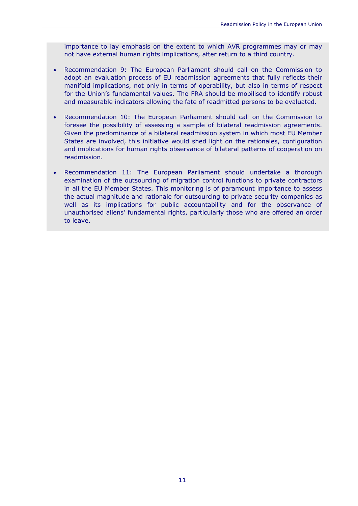importance to lay emphasis on the extent to which AVR programmes may or may not have external human rights implications, after return to a third country.

- Recommendation 9: The European Parliament should call on the Commission to adopt an evaluation process of EU readmission agreements that fully reflects their manifold implications, not only in terms of operability, but also in terms of respect for the Union's fundamental values. The FRA should be mobilised to identify robust and measurable indicators allowing the fate of readmitted persons to be evaluated.
- Recommendation 10: The European Parliament should call on the Commission to foresee the possibility of assessing a sample of bilateral readmission agreements. Given the predominance of a bilateral readmission system in which most EU Member States are involved, this initiative would shed light on the rationales, configuration and implications for human rights observance of bilateral patterns of cooperation on readmission.
- Recommendation 11: The European Parliament should undertake a thorough examination of the outsourcing of migration control functions to private contractors in all the EU Member States. This monitoring is of paramount importance to assess the actual magnitude and rationale for outsourcing to private security companies as well as its implications for public accountability and for the observance of unauthorised aliens' fundamental rights, particularly those who are offered an order to leave.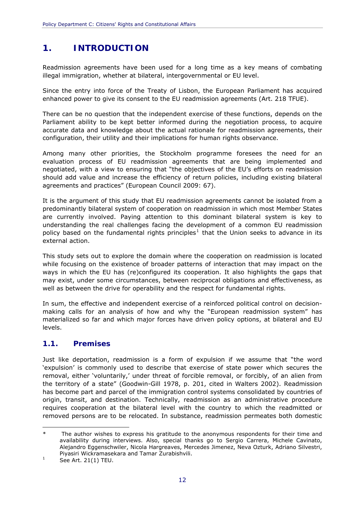## <span id="page-13-0"></span>**1. INTRODUCTION**

Readmission agreements have been used for a long time as a key means of combating illegal immigration, whether at bilateral, intergovernmental or EU level.

Since the entry into force of the Treaty of Lisbon, the European Parliament has acquired enhanced power to give its consent to the EU readmission agreements (Art. 218 TFUE).

There can be no question that the independent exercise of these functions, depends on the Parliament ability to be kept better informed during the negotiation process, to acquire accurate data and knowledge about the actual rationale for readmission agreements, their configuration, their utility and their implications for human rights observance.

Among many other priorities, the Stockholm programme foresees the need for an evaluation process of EU readmission agreements that are being implemented and negotiated, with a view to ensuring that "the objectives of the EU's efforts on readmission should add value and increase the efficiency of return policies, including existing bilateral agreements and practices" (European Council 2009: 67).

It is the argument of this study that EU readmission agreements cannot be isolated from a predominantly bilateral system of cooperation on readmission in which most Member States are currently involved. Paying attention to this dominant bilateral system is key to understanding the real challenges facing the development of a common EU readmission policy based on the fundamental rights principles<sup>[1](#page-13-2)</sup> that the Union seeks to advance in its external action.

This study sets out to explore the domain where the cooperation on readmission is located while focusing on the existence of broader patterns of interaction that may impact on the ways in which the EU has (re)configured its cooperation. It also highlights the gaps that may exist, under some circumstances, between reciprocal obligations and effectiveness, as well as between the drive for operability and the respect for fundamental rights.

In sum, the effective and independent exercise of a reinforced political control on decisionmaking calls for an analysis of how and why the "European readmission system" has materialized so far and which major forces have driven policy options, at bilateral and EU levels.

## <span id="page-13-1"></span>**1.1. Premises**

Just like deportation, readmission is a form of expulsion if we assume that "the word 'expulsion' is commonly used to describe that exercise of state power which secures the removal, either 'voluntarily,' under threat of forcible removal, or forcibly, of an alien from the territory of a state" (Goodwin-Gill 1978, p. 201, cited in Walters 2002). Readmission has become part and parcel of the immigration control systems consolidated by countries of origin, transit, and destination. Technically, readmission as an administrative procedure requires cooperation at the bilateral level with the country to which the readmitted or removed persons are to be relocated. In substance, readmission permeates both domestic

1

<span id="page-13-2"></span><sup>\*</sup> The author wishes to express his gratitude to the anonymous respondents for their time and availability during interviews. Also, special thanks go to Sergio Carrera, Michele Cavinato, Alejandro Eggenschwiler, Nicola Hargreaves, Mercedes Jimenez, Neva Ozturk, Adriano Silvestri, Piyasiri Wickramasekara and Tamar Zurabishvili.

See Art. 21(1) TEU.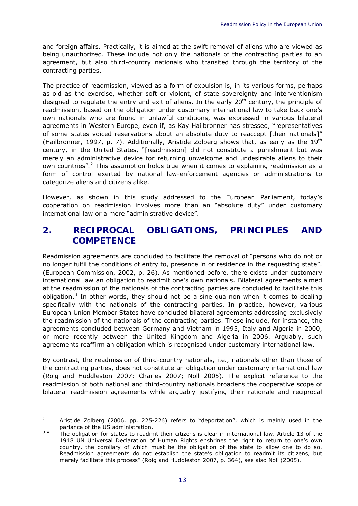and foreign affairs. Practically, it is aimed at the swift removal of aliens who are viewed as being unauthorized. These include not only the nationals of the contracting parties to an agreement, but also third-country nationals who transited through the territory of the contracting parties.

The practice of readmission, viewed as a form of expulsion is, in its various forms, perhaps as old as the exercise, whether soft or violent, of state sovereignty and interventionism designed to regulate the entry and exit of aliens. In the early 20<sup>th</sup> century, the principle of readmission, based on the obligation under customary international law to take back one's own nationals who are found in unlawful conditions, was expressed in various bilateral agreements in Western Europe, even if, as Kay Hailbronner has stressed, "representatives of some states voiced reservations about an absolute duty to reaccept [their nationals]" (Hailbronner, 1997, p. 7). Additionally, Aristide Zolberg shows that, as early as the 19<sup>th</sup> century, in the United States, "[readmission] did not constitute a punishment but was merely an administrative device for returning unwelcome and undesirable aliens to their own countries".<sup>[2](#page-14-1)</sup> This assumption holds true when it comes to explaining readmission as a form of control exerted by national law-enforcement agencies or administrations to categorize aliens and citizens alike.

However, as shown in this study addressed to the European Parliament, today's cooperation on readmission involves more than an "absolute duty" under customary international law or a mere "administrative device".

## <span id="page-14-0"></span>**2. RECIPROCAL OBLIGATIONS, PRINCIPLES AND COMPETENCE**

Readmission agreements are concluded to facilitate the removal of "persons who do not or no longer fulfil the conditions of entry to, presence in or residence in the requesting state". (European Commission, 2002, p. 26). As mentioned before, there exists under customary international law an obligation to readmit one's own nationals. Bilateral agreements aimed at the readmission of the nationals of the contracting parties are concluded to *facilitate* this obligation.[3](#page-14-2) In other words, they should not be a *sine qua non* when it comes to dealing specifically with the nationals of the contracting parties. In practice, however, various European Union Member States have concluded bilateral agreements addressing exclusively the readmission of the nationals of the contracting parties. These include, for instance, the agreements concluded between Germany and Vietnam in 1995, Italy and Algeria in 2000, or more recently between the United Kingdom and Algeria in 2006. Arguably, such agreements reaffirm an obligation which is recognised under customary international law.

By contrast, the readmission of third-country nationals, i.e., nationals other than those of the contracting parties, does not constitute an obligation under customary international law (Roig and Huddleston 2007; Charles 2007; Noll 2005). The explicit reference to the readmission of both national and third-country nationals broadens the cooperative scope of bilateral readmission agreements while arguably justifying their rationale and reciprocal

<span id="page-14-1"></span> $\frac{1}{2}$  Aristide Zolberg (2006, pp. 225-226) refers to "deportation", which is mainly used in the parlance of the US administration.

<span id="page-14-2"></span><sup>3 &</sup>lt;sub>N</sub> The obligation for states to readmit their citizens is clear in international law. Article 13 of the 1948 UN Universal Declaration of Human Rights enshrines the right to return to one's own country, the corollary of which must be the obligation of the state to allow one to do so. Readmission agreements do not establish the state's obligation to readmit its citizens, but merely facilitate this process" (Roig and Huddleston 2007, p. 364), see also Noll (2005).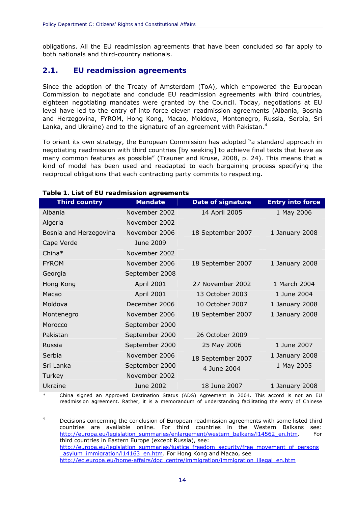obligations. All the EU readmission agreements that have been concluded so far apply to both nationals and third-country nationals.

## <span id="page-15-0"></span>**2.1. EU readmission agreements**

Since the adoption of the Treaty of Amsterdam (ToA), which empowered the European Commission to negotiate and conclude EU readmission agreements with third countries, eighteen negotiating mandates were granted by the Council. Today, negotiations at EU level have led to the entry of into force eleven readmission agreements (Albania, Bosnia and Herzegovina, FYROM, Hong Kong, Macao, Moldova, Montenegro, Russia, Serbia, Sri Lanka, and Ukraine) and to the signature of an agreement with Pakistan.<sup>[4](#page-15-2)</sup>

To orient its own strategy, the European Commission has adopted "a standard approach in negotiating readmission with third countries [by seeking] to achieve final texts that have as many common features as possible" (Trauner and Kruse, 2008, p. 24). This means that a kind of model has been used and readapted to each bargaining process specifying the reciprocal obligations that each contracting party commits to respecting.

<span id="page-15-1"></span>

| <b>Third country</b>   | <b>Mandate</b>    | Date of signature | <b>Entry into force</b> |
|------------------------|-------------------|-------------------|-------------------------|
| Albania                | November 2002     | 14 April 2005     | 1 May 2006              |
| Algeria                | November 2002     |                   |                         |
| Bosnia and Herzegovina | November 2006     | 18 September 2007 | 1 January 2008          |
| Cape Verde             | June 2009         |                   |                         |
| $China*$               | November 2002     |                   |                         |
| <b>FYROM</b>           | November 2006     | 18 September 2007 | 1 January 2008          |
| Georgia                | September 2008    |                   |                         |
| Hong Kong              | <b>April 2001</b> | 27 November 2002  | 1 March 2004            |
| Macao                  | <b>April 2001</b> | 13 October 2003   | 1 June 2004             |
| Moldova                | December 2006     | 10 October 2007   | 1 January 2008          |
| Montenegro             | November 2006     | 18 September 2007 | 1 January 2008          |
| Morocco                | September 2000    |                   |                         |
| Pakistan               | September 2000    | 26 October 2009   |                         |
| Russia                 | September 2000    | 25 May 2006       | 1 June 2007             |
| Serbia                 | November 2006     | 18 September 2007 | 1 January 2008          |
| Sri Lanka              | September 2000    | 4 June 2004       | 1 May 2005              |
| Turkey                 | November 2002     |                   |                         |
| Ukraine                | June 2002         | 18 June 2007      | 1 January 2008          |
|                        |                   |                   |                         |

#### **Table 1. List of EU readmission agreements**

China signed an Approved Destination Status (ADS) Agreement in 2004. This accord is not an EU readmission agreement. Rather, it is a memorandum of understanding facilitating the entry of Chinese

<span id="page-15-2"></span><u>.</u> 4 Decisions concerning the conclusion of European readmission agreements with some listed third countries are available online. For third countries in the Western Balkans see: [http://europa.eu/legislation\\_summaries/enlargement/western\\_balkans/l14562\\_en.htm](http://europa.eu/legislation_summaries/enlargement/western_balkans/l14562_en.htm). For third countries in Eastern Europe (except Russia), see: [http://europa.eu/legislation\\_summaries/justice\\_freedom\\_security/free\\_movement\\_of\\_persons](http://europa.eu/legislation_summaries/justice_freedom_security/free_movement_of_persons_asylum_immigration/l14163_en.htm) asylum\_immigration/l14163\_en.htm. For Hong Kong and Macao, see http://ec.europa.eu/home-affairs/doc\_centre/immigration/immigration\_illegal\_en.htm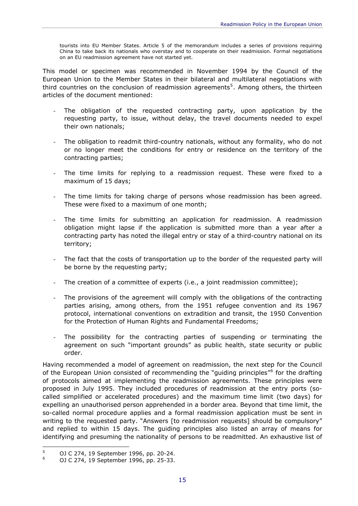tourists into EU Member States. Article 5 of the memorandum includes a series of provisions requiring China to take back its nationals who overstay and to cooperate on their readmission. Formal negotiations on an EU readmission agreement have not started yet.

This model or specimen was recommended in November 1994 by the Council of the European Union to the Member States in their bilateral and multilateral negotiations with third countries on the conclusion of readmission agreements<sup>[5](#page-16-0)</sup>. Among others, the thirteen articles of the document mentioned:

- The obligation of the requested contracting party, upon application by the requesting party, to issue, without delay, the travel documents needed to expel their own nationals;
- The obligation to readmit third-country nationals, without any formality, who do not or no longer meet the conditions for entry or residence on the territory of the contracting parties;
- The time limits for replying to a readmission request. These were fixed to a maximum of 15 days;
- The time limits for taking charge of persons whose readmission has been agreed. These were fixed to a maximum of one month;
- The time limits for submitting an application for readmission. A readmission obligation might lapse if the application is submitted more than a year after a contracting party has noted the illegal entry or stay of a third-country national on its territory;
- The fact that the costs of transportation up to the border of the requested party will be borne by the requesting party;
- The creation of a committee of experts (i.e., a joint readmission committee);
- The provisions of the agreement will comply with the obligations of the contracting parties arising, among others, from the 1951 refugee convention and its 1967 protocol, international conventions on extradition and transit, the 1950 Convention for the Protection of Human Rights and Fundamental Freedoms;
- The possibility for the contracting parties of suspending or terminating the agreement on such "important grounds" as public health, state security or public order.

Having recommended a model of agreement on readmission, the next step for the Council of the European Union consisted of recommending the "guiding principles"<sup>[6](#page-16-1)</sup> for the drafting of protocols aimed at implementing the readmission agreements. These principles were proposed in July 1995. They included procedures of readmission at the entry ports (socalled simplified or accelerated procedures) and the maximum time limit (two days) for expelling an unauthorised person apprehended in a border area. Beyond that time limit, the so-called normal procedure applies and a formal readmission application must be sent in writing to the requested party. "Answers [to readmission requests] should be compulsory" and replied to within 15 days. The guiding principles also listed an array of means for identifying and presuming the nationality of persons to be readmitted. An exhaustive list of

 $\frac{1}{5}$ OJ C 274, 19 September 1996, pp. 20-24.

<span id="page-16-1"></span><span id="page-16-0"></span><sup>6</sup> OJ C 274, 19 September 1996, pp. 25-33.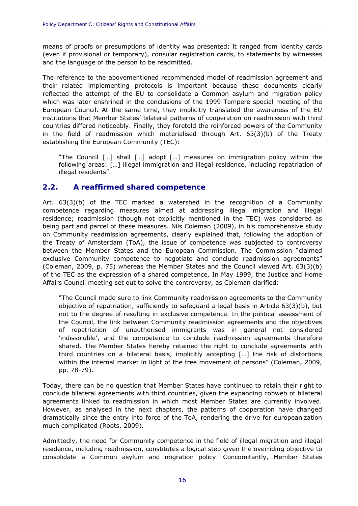means of proofs or presumptions of identity was presented; it ranged from identity cards (even if provisional or temporary), consular registration cards, to statements by witnesses and the language of the person to be readmitted.

The reference to the abovementioned recommended model of readmission agreement and their related implementing protocols is important because these documents clearly reflected the attempt of the EU to consolidate a Common asylum and migration policy which was later enshrined in the conclusions of the 1999 Tampere special meeting of the European Council. At the same time, they implicitly translated the awareness of the EU institutions that Member States' bilateral patterns of cooperation on readmission with third countries differed noticeably. Finally, they foretold the reinforced powers of the Community in the field of readmission which materialised through Art. 63(3)(b) of the Treaty establishing the European Community (TEC):

"The Council […] shall […] adopt […] measures on immigration policy within the following areas: […] illegal immigration and illegal residence, including repatriation of illegal residents".

## <span id="page-17-0"></span>**2.2. A reaffirmed shared competence**

Art. 63(3)(b) of the TEC marked a watershed in the recognition of a Community competence regarding measures aimed at addressing illegal migration and illegal residence; readmission (though not explicitly mentioned in the TEC) was considered as being part and parcel of these measures. Nils Coleman (2009), in his comprehensive study on Community readmission agreements, clearly explained that, following the adoption of the Treaty of Amsterdam (ToA), the issue of competence was subjected to controversy between the Member States and the European Commission. The Commission "claimed exclusive Community competence to negotiate and conclude readmission agreements" (Coleman, 2009, p. 75) whereas the Member States and the Council viewed Art. 63(3)(b) of the TEC as the expression of a shared competence. In May 1999, the Justice and Home Affairs Council meeting set out to solve the controversy, as Coleman clarified:

"The Council made sure to link Community readmission agreements to the Community objective of repatriation, sufficiently to safeguard a legal basis in Article 63(3)(b), but not to the degree of resulting in exclusive competence. In the political assessment of the Council, the link between Community readmission agreements and the objectives of repatriation of unauthorised immigrants was in general not considered 'indissoluble', and the competence to conclude readmission agreements therefore shared. The Member States hereby retained the right to conclude agreements with third countries on a bilateral basis, implicitly accepting […] the risk of distortions within the internal market in light of the free movement of persons" (Coleman, 2009, pp. 78-79).

Today, there can be no question that Member States have continued to retain their right to conclude bilateral agreements with third countries, given the expanding cobweb of bilateral agreements linked to readmission in which most Member States are currently involved. However, as analysed in the next chapters, the patterns of cooperation have changed dramatically since the entry into force of the ToA, rendering the drive for europeanization much complicated (Roots, 2009).

Admittedly, the need for Community competence in the field of illegal migration and illegal residence, including readmission, constitutes a logical step given the overriding objective to consolidate a Common asylum and migration policy. Concomitantly, Member States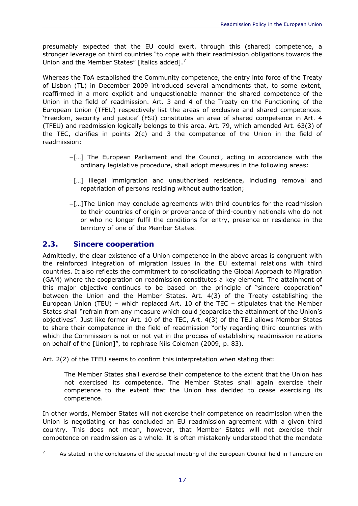presumably expected that the EU could exert, through this (shared) competence, a stronger leverage on third countries "to cope with their readmission obligations towards the Union *and* the Member States" [italics added].<sup>[7](#page-18-1)</sup>

Whereas the ToA established the Community competence, the entry into force of the Treaty of Lisbon (TL) in December 2009 introduced several amendments that, to some extent, reaffirmed in a more explicit and unquestionable manner the shared competence of the Union in the field of readmission. Art. 3 and 4 of the Treaty on the Functioning of the European Union (TFEU) respectively list the areas of exclusive and shared competences. 'Freedom, security and justice' (FSJ) constitutes an area of shared competence in Art. 4 (TFEU) and readmission logically belongs to this area. Art. 79, which amended Art. 63(3) of the TEC, clarifies in points 2(c) and 3 the competence of the Union in the field of readmission:

- […] The European Parliament and the Council, acting in accordance with the ordinary legislative procedure, shall adopt measures in the following areas:
- […] illegal immigration and unauthorised residence, including removal and repatriation of persons residing without authorisation;
- […]The Union may conclude agreements with third countries for the readmission to their countries of origin or provenance of third-country nationals who do not or who no longer fulfil the conditions for entry, presence or residence in the territory of one of the Member States.

## <span id="page-18-0"></span>**2.3. Sincere cooperation**

1

Admittedly, the clear existence of a Union competence in the above areas is congruent with the reinforced integration of migration issues in the EU external relations with third countries. It also reflects the commitment to consolidating the Global Approach to Migration (GAM) where the cooperation on readmission constitutes a key element. The attainment of this major objective continues to be based on the principle of "sincere cooperation" between the Union and the Member States. Art. 4(3) of the Treaty establishing the European Union (TEU) – which replaced Art. 10 of the TEC – stipulates that the Member States shall "refrain from any measure which could jeopardise the attainment of the Union's objectives". Just like former Art. 10 of the TEC, Art. 4(3) of the TEU allows Member States to share their competence in the field of readmission "only regarding third countries with which the Commission is not or not yet in the process of establishing readmission relations on behalf of the [Union]", to rephrase Nils Coleman (2009, p. 83).

Art. 2(2) of the TFEU seems to confirm this interpretation when stating that:

The Member States shall exercise their competence to the extent that the Union has not exercised its competence. The Member States shall again exercise their competence to the extent that the Union has decided to cease exercising its competence.

In other words, Member States will not exercise their competence on readmission when the Union is negotiating or has concluded an EU readmission agreement with a *given* third country. This does not mean, however, that Member States will not exercise their competence on readmission as a whole. It is often mistakenly understood that the mandate

<span id="page-18-1"></span><sup>7</sup> As stated in the conclusions of the special meeting of the European Council held in Tampere on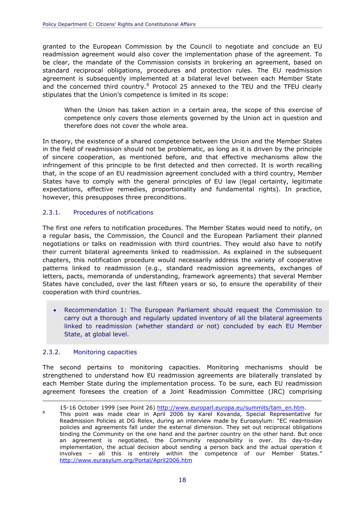granted to the European Commission by the Council to negotiate and conclude an EU readmission agreement would also cover the implementation phase of the agreement. To be clear, the mandate of the Commission consists in *brokering* an agreement, based on standard reciprocal obligations, procedures and protection rules. The EU readmission agreement is subsequently implemented at a bilateral level between each Member State and the concerned third country.<sup>[8](#page-19-2)</sup> Protocol 25 annexed to the TEU and the TFEU clearly stipulates that the Union's competence is limited in its scope:

When the Union has taken action in a certain area, the scope of this exercise of competence only covers those elements governed by the Union act in question and therefore does not cover the whole area.

In theory, the existence of a shared competence between the Union and the Member States in the field of readmission should not be problematic, as long as it is driven by the principle of sincere cooperation, as mentioned before, and that effective mechanisms allow the infringement of this principle to be first detected and then corrected. It is worth recalling that, in the scope of an EU readmission agreement concluded with a third country, Member States have to comply with the general principles of EU law (legal certainty, legitimate expectations, effective remedies, proportionality and fundamental rights). In practice, however, this presupposes three preconditions.

#### <span id="page-19-0"></span>2.3.1. Procedures of notifications

The first one refers to notification procedures. The Member States would need to notify, on a regular basis, the Commission, the Council and the European Parliament their planned negotiations or talks on readmission with third countries. They would also have to notify their current bilateral agreements linked to readmission. As explained in the subsequent chapters, this notification procedure would necessarily address the variety of cooperative patterns linked to readmission (e.g., standard readmission agreements, exchanges of letters, pacts, memoranda of understanding, framework agreements) that several Member States have concluded, over the last fifteen years or so, to ensure the operability of their cooperation with third countries.

 Recommendation 1: The European Parliament should request the Commission to carry out a thorough and regularly updated inventory of all the bilateral agreements linked to readmission (whether standard or not) concluded by each EU Member State, at global level.

#### <span id="page-19-1"></span>2.3.2. Monitoring capacities

1

The second pertains to monitoring capacities. Monitoring mechanisms should be strengthened to understand how EU readmission agreements are bilaterally translated by each Member State during the implementation process. To be sure, each EU readmission agreement foresees the creation of a Joint Readmission Committee (JRC) comprising

<span id="page-19-2"></span><sup>15-16</sup> October 1999 (see Point 26) [http://www.europarl.europa.eu/summits/tam\\_en.htm.](http://www.europarl.europa.eu/summits/tam_en.htm)<br>8 This naint was mode clear in April 2006 by Karel Kausada, Gassial Ranneastative

This point was made clear in April 2006 by Karel Kovanda, Special Representative for Readmission Policies at DG Relex, during an interview made by Euroasylum: "EC readmission policies and agreements fall under the external dimension. They set out reciprocal obligations binding the Community on the one hand and the partner country on the other hand. But once an agreement is negotiated, the Community responsibility is over. Its day-to-day implementation, the actual decision about sending a person back and the actual operation it involves – all this is entirely within the competence of our Member States." <http://www.eurasylum.org/Portal/April2006.htm>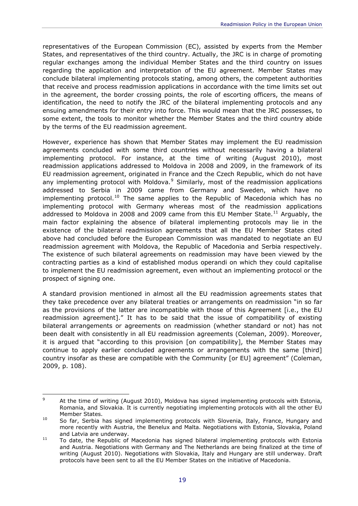representatives of the European Commission (EC), assisted by experts from the Member States, and representatives of the third country. Actually, the JRC is in charge of promoting regular exchanges among the individual Member States and the third country on issues regarding the application and interpretation of the EU agreement. Member States may conclude bilateral implementing protocols stating, among others, the competent authorities that receive and process readmission applications in accordance with the time limits set out in the agreement, the border crossing points, the role of escorting officers, the means of identification, the need to notify the JRC of the bilateral implementing protocols and any ensuing amendments for their entry into force. This would mean that the JRC possesses, to some extent, the tools to monitor whether the Member States and the third country abide by the terms of the EU readmission agreement.

However, experience has shown that Member States may implement the EU readmission agreements concluded with some third countries without necessarily having a bilateral implementing protocol. For instance, at the time of writing (August 2010), most readmission applications addressed to Moldova in 2008 and 2009, in the framework of its EU readmission agreement, originated in France and the Czech Republic, which do not have any implementing protocol with Moldova. $9$  Similarly, most of the readmission applications addressed to Serbia in 2009 came from Germany and Sweden, which have no implementing protocol.<sup>[10](#page-20-1)</sup> The same applies to the Republic of Macedonia which has no implementing protocol with Germany whereas most of the readmission applications addressed to Moldova in 2008 and 2009 came from this EU Member State.<sup>[11](#page-20-2)</sup> Arguably, the main factor explaining the absence of bilateral implementing protocols may lie in the existence of the bilateral readmission agreements that all the EU Member States cited above had concluded before the European Commission was mandated to negotiate an EU readmission agreement with Moldova, the Republic of Macedonia and Serbia respectively. The existence of such bilateral agreements on readmission may have been viewed by the contracting parties as a kind of established *modus operandi* on which they could capitalise to implement the EU readmission agreement, even without an implementing protocol or the prospect of signing one.

A standard provision mentioned in almost all the EU readmission agreements states that they take precedence over any bilateral treaties or arrangements on readmission "in so far as the provisions of the latter are incompatible with those of this Agreement [i.e., the EU readmission agreement]." It has to be said that the issue of compatibility of existing bilateral arrangements or agreements on readmission (whether standard or not) has not been dealt with consistently in all EU readmission agreements (Coleman, 2009). Moreover, it is argued that "according to this provision [on compatibility], the Member States may continue to apply earlier concluded agreements or arrangements with the same [third] country insofar as these are compatible with the Community [or EU] agreement" (Coleman, 2009, p. 108).

<span id="page-20-0"></span>ــ<br>9 At the time of writing (August 2010), Moldova has signed implementing protocols with Estonia, Romania, and Slovakia. It is currently negotiating implementing protocols with all the other EU Member States.

<span id="page-20-1"></span> $10$  So far, Serbia has signed implementing protocols with Slovenia, Italy, France, Hungary and more recently with Austria, the Benelux and Malta. Negotiations with Estonia, Slovakia, Poland and Latvia are underway.

<span id="page-20-2"></span><sup>&</sup>lt;sup>11</sup> To date, the Republic of Macedonia has signed bilateral implementing protocols with Estonia and Austria. Negotiations with Germany and The Netherlands are being finalized at the time of writing (August 2010). Negotiations with Slovakia, Italy and Hungary are still underway. Draft protocols have been sent to all the EU Member States on the initiative of Macedonia.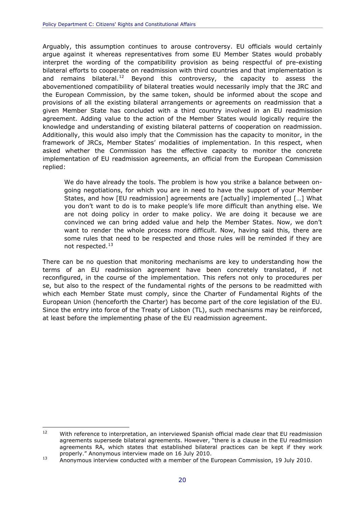Arguably, this assumption continues to arouse controversy. EU officials would certainly argue against it whereas representatives from some EU Member States would probably interpret the wording of the compatibility provision as being respectful of pre-existing bilateral efforts to cooperate on readmission with third countries and that implementation is and remains bilateral.<sup>[12](#page-21-0)</sup> Beyond this controversy, the capacity to assess the abovementioned compatibility of bilateral treaties would necessarily imply that the JRC and the European Commission, by the same token, should be informed about the scope and provisions of all the existing bilateral arrangements or agreements on readmission that a given Member State has concluded with a third country involved in an EU readmission agreement. Adding value to the action of the Member States would logically require the knowledge and understanding of existing bilateral patterns of cooperation on readmission. Additionally, this would also imply that the Commission has the capacity to monitor, in the framework of JRCs, Member States' modalities of implementation. In this respect, when asked whether the Commission has the effective capacity to monitor the concrete implementation of EU readmission agreements, an official from the European Commission replied:

We do have already the tools. The problem is how you strike a balance between ongoing negotiations, for which you are in need to have the support of your Member States, and how [EU readmission] agreements are [actually] implemented […] What you don't want to do is to make people's life more difficult than anything else. We are not doing policy in order to make policy. We are doing it because we are convinced we can bring added value and help the Member States. Now, we don't want to render the whole process more difficult. Now, having said this, there are some rules that need to be respected and those rules will be reminded if they are not respected.<sup>[13](#page-21-1)</sup>

There can be no question that monitoring mechanisms are key to understanding how the terms of an EU readmission agreement have been concretely translated, if not reconfigured, in the course of the implementation. This refers not only to procedures *per se*, but also to the respect of the fundamental rights of the persons to be readmitted with which each Member State must comply, since the Charter of Fundamental Rights of the European Union (henceforth the Charter) has become part of the core legislation of the EU. Since the entry into force of the Treaty of Lisbon (TL), such mechanisms may be reinforced, at least before the implementing phase of the EU readmission agreement.

<span id="page-21-0"></span> $12$ With reference to interpretation, an interviewed Spanish official made clear that EU readmission agreements supersede bilateral agreements. However, "there is a clause in the EU readmission agreements RA, which states that established bilateral practices can be kept if they work properly." Anonymous interview made on 16 July 2010.

<span id="page-21-1"></span><sup>13</sup> Anonymous interview conducted with a member of the European Commission, 19 July 2010.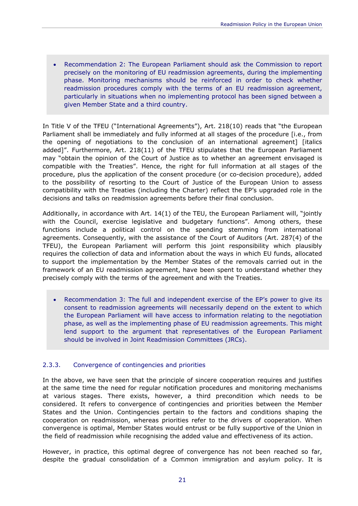Recommendation 2: The European Parliament should ask the Commission to report precisely on the monitoring of EU readmission agreements, during the implementing phase. Monitoring mechanisms should be reinforced in order to check whether readmission procedures comply with the terms of an EU readmission agreement, particularly in situations when no implementing protocol has been signed between a given Member State and a third country.

In Title V of the TFEU ("International Agreements"), Art. 218(10) reads that "the European Parliament shall be immediately and fully informed *at all stages* of the procedure [i.e., from the opening of negotiations to the conclusion of an international agreement] [italics added]". Furthermore, Art. 218(11) of the TFEU stipulates that the European Parliament may "obtain the opinion of the Court of Justice as to whether an agreement envisaged is compatible with the Treaties". Hence, the right for full information *at all stages* of the procedure, plus the application of the consent procedure (or co-decision procedure), added to the possibility of resorting to the Court of Justice of the European Union to assess compatibility with the Treaties (including the Charter) reflect the EP's upgraded role in the decisions and talks on readmission agreements before their final conclusion.

Additionally, in accordance with Art. 14(1) of the TEU, the European Parliament will, "jointly with the Council, exercise legislative and budgetary functions". Among others, these functions include a political control on the spending stemming from international agreements. Consequently, with the assistance of the Court of Auditors (Art. 287(4) of the TFEU), the European Parliament will perform this joint responsibility which plausibly requires the collection of data and information about the ways in which EU funds, allocated to support the implementation by the Member States of the removals carried out in the framework of an EU readmission agreement, have been spent to understand whether they precisely comply with the terms of the agreement and with the Treaties.

 Recommendation 3: The full and independent exercise of the EP's power to give its consent to readmission agreements will necessarily depend on the extent to which the European Parliament will have access to information relating to the negotiation phase, as well as the implementing phase of EU readmission agreements. This might lend support to the argument that representatives of the European Parliament should be involved in Joint Readmission Committees (JRCs).

#### <span id="page-22-0"></span>2.3.3. Convergence of contingencies and priorities

In the above, we have seen that the principle of sincere cooperation requires and justifies at the same time the need for regular notification procedures and monitoring mechanisms at various stages. There exists, however, a third precondition which needs to be considered. It refers to convergence of contingencies and priorities between the Member States and the Union. Contingencies pertain to the factors and conditions shaping the cooperation on readmission, whereas priorities refer to the drivers of cooperation. When convergence is optimal, Member States would entrust or be fully supportive of the Union in the field of readmission while recognising the added value and effectiveness of its action.

However, in practice, this optimal degree of convergence has not been reached so far, despite the gradual consolidation of a Common immigration and asylum policy. It is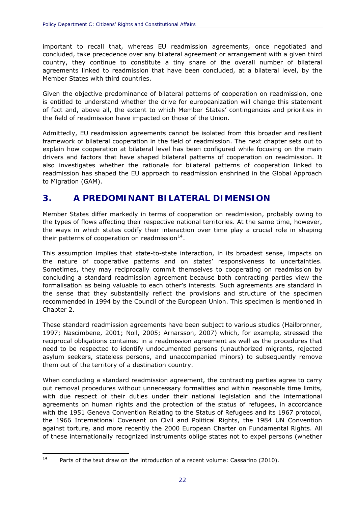important to recall that, whereas EU readmission agreements, once negotiated and concluded, take precedence over any bilateral agreement or arrangement with a given third country, they continue to constitute a tiny share of the overall number of bilateral agreements linked to readmission that have been concluded, at a bilateral level, by the Member States with third countries.

Given the objective predominance of bilateral patterns of cooperation on readmission, one is entitled to understand whether the drive for europeanization will change this statement of fact and, above all, the extent to which Member States' contingencies and priorities in the field of readmission have impacted on those of the Union.

Admittedly, EU readmission agreements cannot be isolated from this broader and resilient framework of bilateral cooperation in the field of readmission. The next chapter sets out to explain how cooperation at bilateral level has been configured while focusing on the main drivers and factors that have shaped bilateral patterns of cooperation on readmission. It also investigates whether the rationale for bilateral patterns of cooperation linked to readmission has shaped the EU approach to readmission enshrined in the Global Approach to Migration (GAM).

## <span id="page-23-0"></span>**3. A PREDOMINANT BILATERAL DIMENSION**

Member States differ markedly in terms of cooperation on readmission, probably owing to the types of flows affecting their respective national territories. At the same time, however, the ways in which states codify their interaction over time play a crucial role in shaping their patterns of cooperation on readmission $14$ .

This assumption implies that state-to-state interaction, in its broadest sense, impacts on the nature of cooperative patterns and on states' responsiveness to uncertainties. Sometimes, they may reciprocally commit themselves to cooperating on readmission by concluding a standard readmission agreement because both contracting parties view the formalisation as being valuable to each other's interests. Such agreements are standard in the sense that they substantially reflect the provisions and structure of the specimen recommended in 1994 by the Council of the European Union. This specimen is mentioned in Chapter 2.

These standard readmission agreements have been subject to various studies (Hailbronner, 1997; Nascimbene, 2001; Noll, 2005; Arnarsson, 2007) which, for example, stressed the reciprocal obligations contained in a readmission agreement as well as the procedures that need to be respected to identify undocumented persons (unauthorized migrants, rejected asylum seekers, stateless persons, and unaccompanied minors) to subsequently remove them out of the territory of a destination country.

When concluding a standard readmission agreement, the contracting parties agree to carry out removal procedures without unnecessary formalities and within reasonable time limits, with due respect of their duties under their national legislation and the international agreements on human rights and the protection of the status of refugees, in accordance with the 1951 Geneva Convention Relating to the Status of Refugees and its 1967 protocol, the 1966 International Covenant on Civil and Political Rights, the 1984 UN Convention against torture, and more recently the 2000 European Charter on Fundamental Rights. All of these internationally recognized instruments oblige states not to expel persons (whether

<span id="page-23-1"></span> $14$ Parts of the text draw on the introduction of a recent volume: Cassarino (2010).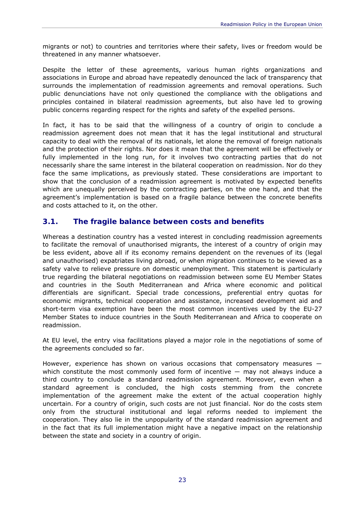migrants or not) to countries and territories where their safety, lives or freedom would be threatened in any manner whatsoever.

Despite the letter of these agreements, various human rights organizations and associations in Europe and abroad have repeatedly denounced the lack of transparency that surrounds the implementation of readmission agreements and removal operations. Such public denunciations have not only questioned the compliance with the obligations and principles contained in bilateral readmission agreements, but also have led to growing public concerns regarding respect for the rights and safety of the expelled persons.

In fact, it has to be said that the willingness of a country of origin to conclude a readmission agreement does not mean that it has the legal institutional and structural capacity to deal with the removal of its nationals, let alone the removal of foreign nationals and the protection of their rights. Nor does it mean that the agreement will be effectively or fully implemented in the long run, for it involves two contracting parties that do not necessarily share the same interest in the bilateral cooperation on readmission. Nor do they face the same implications, as previously stated. These considerations are important to show that the conclusion of a readmission agreement is motivated by expected benefits which are unequally perceived by the contracting parties, on the one hand, and that the agreement's implementation is based on a fragile balance between the concrete benefits and costs attached to it, on the other.

## <span id="page-24-0"></span>**3.1. The fragile balance between costs and benefits**

Whereas a destination country has a vested interest in concluding readmission agreements to facilitate the removal of unauthorised migrants, the interest of a country of origin may be less evident, above all if its economy remains dependent on the revenues of its (legal and unauthorised) expatriates living abroad, or when migration continues to be viewed as a safety valve to relieve pressure on domestic unemployment. This statement is particularly true regarding the bilateral negotiations on readmission between some EU Member States and countries in the South Mediterranean and Africa where economic and political differentials are significant. Special trade concessions, preferential entry quotas for economic migrants, technical cooperation and assistance, increased development aid and short-term visa exemption have been the most common incentives used by the EU-27 Member States to induce countries in the South Mediterranean and Africa to cooperate on readmission.

At EU level, the entry visa facilitations played a major role in the negotiations of some of the agreements concluded so far.

However, experience has shown on various occasions that compensatory measures which constitute the most commonly used form of incentive  $-$  may not always induce a third country to conclude a standard readmission agreement. Moreover, even when a standard agreement is concluded, the high costs stemming from the concrete implementation of the agreement make the extent of the actual cooperation highly uncertain. For a country of origin, such costs are not just financial. Nor do the costs stem only from the structural institutional and legal reforms needed to implement the cooperation. They also lie in the unpopularity of the standard readmission agreement and in the fact that its full implementation might have a negative impact on the relationship between the state and society in a country of origin.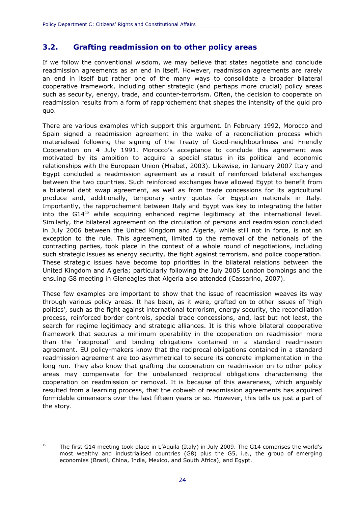## <span id="page-25-0"></span>**3.2. Grafting readmission on to other policy areas**

If we follow the conventional wisdom, we may believe that states negotiate and conclude readmission agreements as an end in itself. However, readmission agreements are rarely an end in itself but rather one of the many ways to consolidate a broader bilateral cooperative framework, including other strategic (and perhaps more crucial) policy areas such as security, energy, trade, and counter-terrorism. Often, the decision to cooperate on readmission results from a form of rapprochement that shapes the intensity of the *quid pro quo*.

There are various examples which support this argument. In February 1992, Morocco and Spain signed a readmission agreement in the wake of a reconciliation process which materialised following the signing of the Treaty of Good-neighbourliness and Friendly Cooperation on 4 July 1991. Morocco's acceptance to conclude this agreement was motivated by its ambition to acquire a special status in its political and economic relationships with the European Union (Mrabet, 2003). Likewise, in January 2007 Italy and Egypt concluded a readmission agreement as a result of reinforced bilateral exchanges between the two countries. Such reinforced exchanges have allowed Egypt to benefit from a bilateral debt swap agreement, as well as from trade concessions for its agricultural produce and, additionally, temporary entry quotas for Egyptian nationals in Italy. Importantly, the rapprochement between Italy and Egypt was key to integrating the latter into the  $G14^{15}$  $G14^{15}$  $G14^{15}$  while acquiring enhanced regime legitimacy at the international level. Similarly, the bilateral agreement on the circulation of persons and readmission concluded in July 2006 between the United Kingdom and Algeria, while still not in force, is not an exception to the rule. This agreement, limited to the removal of the nationals of the contracting parties, took place in the context of a whole round of negotiations, including such strategic issues as energy security, the fight against terrorism, and police cooperation. These strategic issues have become top priorities in the bilateral relations between the United Kingdom and Algeria; particularly following the July 2005 London bombings and the ensuing G8 meeting in Gleneagles that Algeria also attended (Cassarino, 2007).

These few examples are important to show that the issue of readmission weaves its way through various policy areas. It has been, as it were, grafted on to other issues of 'high politics', such as the fight against international terrorism, energy security, the reconciliation process, reinforced border controls, special trade concessions, and, last but not least, the search for regime legitimacy and strategic alliances. It is this whole bilateral cooperative framework that secures a minimum operability in the cooperation on readmission more than the 'reciprocal' and binding obligations contained in a standard readmission agreement. EU policy-makers know that the reciprocal obligations contained in a standard readmission agreement are too asymmetrical to secure its concrete implementation in the long run. They also know that grafting the cooperation on readmission on to other policy areas may compensate for the unbalanced reciprocal obligations characterising the cooperation on readmission or removal. It is because of this awareness, which arguably resulted from a learning process, that the cobweb of readmission agreements has acquired formidable dimensions over the last fifteen years or so. However, this tells us just a part of the story.

<span id="page-25-1"></span> $15$ <sup>15</sup> The first G14 meeting took place in L'Aquila (Italy) in July 2009. The G14 comprises the world's most wealthy and industrialised countries (G8) plus the G5, i.e., the group of emerging economies (Brazil, China, India, Mexico, and South Africa), and Egypt.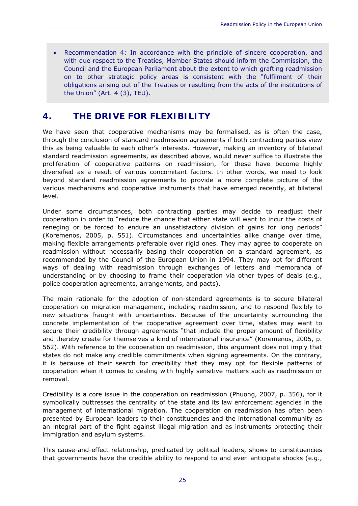Recommendation 4: In accordance with the principle of sincere cooperation, and with due respect to the Treaties, Member States should inform the Commission, the Council and the European Parliament about the extent to which grafting readmission on to other strategic policy areas is consistent with the "fulfilment of their obligations arising out of the Treaties or resulting from the acts of the institutions of the Union" (Art. 4 (3), TEU).

## <span id="page-26-0"></span>**4. THE DRIVE FOR FLEXIBILITY**

We have seen that cooperative mechanisms may be formalised, as is often the case, through the conclusion of standard readmission agreements if both contracting parties view this as being valuable to each other's interests. However, making an inventory of bilateral standard readmission agreements, as described above, would never suffice to illustrate the proliferation of cooperative patterns on readmission, for these have become highly diversified as a result of various concomitant factors. In other words, we need to look beyond standard readmission agreements to provide a more complete picture of the various mechanisms and cooperative instruments that have emerged recently, at bilateral level.

Under some circumstances, both contracting parties may decide to readjust their cooperation in order to "reduce the chance that either state will want to incur the costs of reneging or be forced to endure an unsatisfactory division of gains for long periods" (Koremenos, 2005, p. 551). Circumstances and uncertainties alike change over time, making flexible arrangements preferable over rigid ones. They may agree to cooperate on readmission without necessarily basing their cooperation on a standard agreement, as recommended by the Council of the European Union in 1994. They may opt for different ways of dealing with readmission through exchanges of letters and memoranda of understanding or by choosing to frame their cooperation via other types of deals (e.g., police cooperation agreements, arrangements, and pacts).

The main rationale for the adoption of non-standard agreements is to secure bilateral cooperation on migration management, including readmission, and to respond flexibly to new situations fraught with uncertainties. Because of the uncertainty surrounding the concrete implementation of the cooperative agreement over time, states may want to secure their credibility through agreements "that include the proper amount of flexibility and thereby create for themselves a kind of international insurance" (Koremenos, 2005, p. 562). With reference to the cooperation on readmission, this argument does not imply that states do not make any credible commitments when signing agreements. On the contrary, it is because of their search for credibility that they may opt for flexible patterns of cooperation when it comes to dealing with highly sensitive matters such as readmission or removal.

Credibility is a core issue in the cooperation on readmission (Phuong, 2007, p. 356), for it symbolically buttresses the centrality of the state and its law enforcement agencies in the management of international migration. The cooperation on readmission has often been presented by European leaders to their constituencies and the international community as an integral part of the fight against illegal migration and as instruments protecting their immigration and asylum systems.

This cause-and-effect relationship, predicated by political leaders, shows to constituencies that governments have the *credible ability* to respond to and even anticipate shocks (e.g.,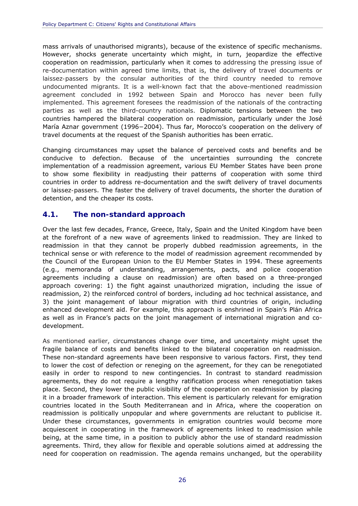mass arrivals of unauthorised migrants), because of the existence of specific mechanisms. However, shocks generate uncertainty which might, in turn, jeopardize the effective cooperation on readmission, particularly when it comes to addressing the pressing issue of re-documentation within agreed time limits, that is, the delivery of travel documents or *laissez-passers* by the consular authorities of the third country needed to remove undocumented migrants. It is a well-known fact that the above-mentioned readmission agreement concluded in 1992 between Spain and Morocco has never been fully implemented. This agreement foresees the readmission of the nationals of the contracting parties as well as the third-country nationals. Diplomatic tensions between the two countries hampered the bilateral cooperation on readmission, particularly under the José María Aznar government (1996−2004). Thus far, Morocco's cooperation on the delivery of travel documents at the request of the Spanish authorities has been erratic.

Changing circumstances may upset the balance of perceived costs and benefits and be conducive to defection. Because of the uncertainties surrounding the concrete implementation of a readmission agreement, various EU Member States have been prone to show some flexibility in readjusting their patterns of cooperation with some third countries in order to address re-documentation and the swift delivery of travel documents or *laissez-passers*. The faster the delivery of travel documents, the shorter the duration of detention, and the cheaper its costs.

## <span id="page-27-0"></span>**4.1. The non-standard approach**

Over the last few decades, France, Greece, Italy, Spain and the United Kingdom have been at the forefront of a new wave of agreements linked to readmission. They are *linked* to readmission in that they cannot be properly dubbed readmission agreements, in the technical sense or with reference to the model of readmission agreement recommended by the Council of the European Union to the EU Member States in 1994. These agreements (e.g., memoranda of understanding, arrangements, pacts, and police cooperation agreements including a clause on readmission) are often based on a three-pronged approach covering: 1) the fight against unauthorized migration, including the issue of readmission, 2) the reinforced control of borders, including *ad hoc* technical assistance, and 3) the joint management of labour migration with third countries of origin, including enhanced development aid. For example, this approach is enshrined in Spain's *Plán Africa* as well as in France's pacts on the joint management of international migration and codevelopment.

As mentioned earlier, circumstances change over time, and uncertainty might upset the fragile balance of costs and benefits linked to the bilateral cooperation on readmission. These non-standard agreements have been responsive to various factors. First, they tend to lower the cost of defection or reneging on the agreement, for they can be renegotiated easily in order to respond to new contingencies. In contrast to standard readmission agreements, they do not require a lengthy ratification process when renegotiation takes place. Second, they lower the public visibility of the cooperation on readmission by placing it in a broader framework of interaction. This element is particularly relevant for emigration countries located in the South Mediterranean and in Africa, where the cooperation on readmission is politically unpopular and where governments are reluctant to publicise it. Under these circumstances, governments in emigration countries would become more acquiescent in cooperating in the framework of agreements *linked* to readmission while being, at the same time, in a position to publicly abhor the use of standard readmission agreements. Third, they allow for flexible and operable solutions aimed at addressing the need for cooperation on readmission. The agenda remains unchanged, but the operability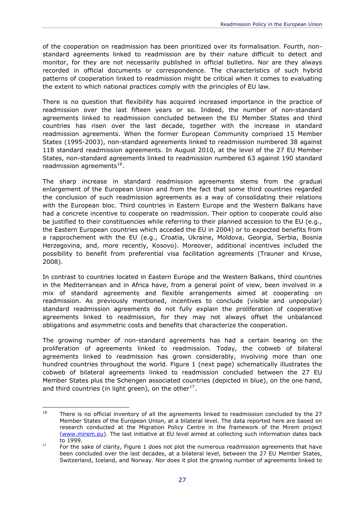of the cooperation on readmission has been prioritized over its formalisation. Fourth, nonstandard agreements linked to readmission are by their nature difficult to detect and monitor, for they are not necessarily published in official bulletins. Nor are they always recorded in official documents or correspondence. The characteristics of such hybrid patterns of cooperation *linked* to readmission might be critical when it comes to evaluating the extent to which national practices comply with the principles of EU law.

There is no question that flexibility has acquired increased importance in the practice of readmission over the last fifteen years or so. Indeed, the number of non-standard agreements linked to readmission concluded between the EU Member States and third countries has risen over the last decade, together with the increase in standard readmission agreements. When the former European Community comprised 15 Member States (1995-2003), non-standard agreements linked to readmission numbered 38 against 118 standard readmission agreements. In August 2010, at the level of the 27 EU Member States, non-standard agreements linked to readmission numbered 63 against 190 standard readmission agreements $^{16}$  $^{16}$  $^{16}$ .

The sharp increase in standard readmission agreements stems from the gradual enlargement of the European Union and from the fact that some third countries regarded the conclusion of such readmission agreements as a way of consolidating their relations with the European bloc. Third countries in Eastern Europe and the Western Balkans have had a concrete incentive to cooperate on readmission. Their option to cooperate could also be justified to their constituencies while referring to their planned accession to the EU (e.g., the Eastern European countries which acceded the EU in 2004) or to expected benefits from a *rapprochement* with the EU (e.g., Croatia, Ukraine, Moldova, Georgia, Serbia, Bosnia Herzegovina, and, more recently, Kosovo). Moreover, additional incentives included the possibility to benefit from preferential visa facilitation agreements (Trauner and Kruse, 2008).

In contrast to countries located in Eastern Europe and the Western Balkans, third countries in the Mediterranean and in Africa have, from a general point of view, been involved in a mix of standard agreements and flexible arrangements aimed at cooperating on readmission. As previously mentioned, incentives to conclude (visible and unpopular) standard readmission agreements do not fully explain the proliferation of cooperative agreements linked to readmission, for they may not always offset the unbalanced obligations and asymmetric costs and benefits that characterize the cooperation.

The growing number of non-standard agreements has had a certain bearing on the proliferation of agreements linked to readmission. Today, the cobweb of bilateral agreements linked to readmission has grown considerably, involving more than one hundred countries throughout the world. Figure 1 (next page) schematically illustrates the cobweb of bilateral agreements linked to readmission concluded between the 27 EU Member States plus the Schengen associated countries (depicted in blue), on the one hand, and third countries (in light green), on the other<sup>[17](#page-28-1)</sup>.

<span id="page-28-0"></span><sup>16</sup> There is no official inventory of all the agreements linked to readmission concluded by the 27 Member States of the European Union, at a bilateral level. The data reported here are based on research conducted at the Migration Policy Centre in the framework of the Mirem project [\(www.mirem.eu](http://www.mirem.eu/)). The last initiative at EU level aimed at collecting such information dates back to 1999.

<span id="page-28-1"></span><sup>&</sup>lt;sup>17</sup> For the sake of clarity, Figure 1 does not plot the numerous readmission agreements that have been concluded over the last decades, at a bilateral level, between the 27 EU Member States, Switzerland, Iceland, and Norway. Nor does it plot the growing number of agreements linked to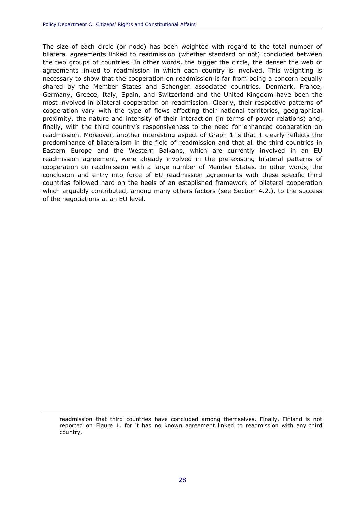The size of each circle (or node) has been weighted with regard to the total number of bilateral agreements linked to readmission (whether standard or not) concluded between the two groups of countries. In other words, the bigger the circle, the denser the web of agreements linked to readmission in which each country is involved. This weighting is necessary to show that the cooperation on readmission is far from being a concern equally shared by the Member States and Schengen associated countries. Denmark, France, Germany, Greece, Italy, Spain, and Switzerland and the United Kingdom have been the most involved in bilateral cooperation on readmission. Clearly, their respective patterns of cooperation vary with the type of flows affecting their national territories, geographical proximity, the nature and intensity of their interaction (in terms of power relations) and, finally, with the third country's responsiveness to the need for enhanced cooperation on readmission. Moreover, another interesting aspect of Graph 1 is that it clearly reflects the predominance of bilateralism in the field of readmission and that all the third countries in Eastern Europe and the Western Balkans, which are currently involved in an EU readmission agreement, were already involved in the pre-existing bilateral patterns of cooperation on readmission with a large number of Member States. In other words, the conclusion and entry into force of EU readmission agreements with these specific third countries followed hard on the heels of an established framework of bilateral cooperation which arguably contributed, among many others factors (see Section 4.2.), to the success of the negotiations at an EU level.

1

readmission that third countries have concluded among themselves. Finally, Finland is not reported on Figure 1, for it has no known agreement linked to readmission with any third country.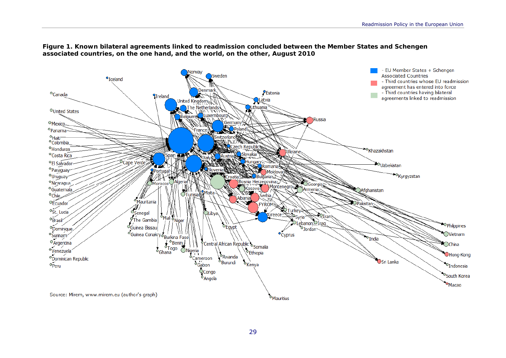<span id="page-30-0"></span>

**Figure 1. Known bilateral agreements linked to readmission concluded between the Member States and Schengen associated countries, on the one hand, and the world, on the other, August 2010**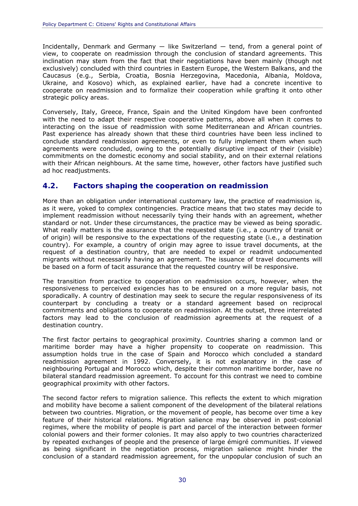Incidentally, Denmark and Germany  $-$  like Switzerland  $-$  tend, from a general point of view, to cooperate on readmission through the conclusion of standard agreements. This inclination may stem from the fact that their negotiations have been mainly (though not exclusively) concluded with third countries in Eastern Europe, the Western Balkans, and the Caucasus (e.g., Serbia, Croatia, Bosnia Herzegovina, Macedonia, Albania, Moldova, Ukraine, and Kosovo) which, as explained earlier, have had a concrete incentive to cooperate on readmission and to formalize their cooperation while grafting it onto other strategic policy areas.

Conversely, Italy, Greece, France, Spain and the United Kingdom have been confronted with the need to adapt their respective cooperative patterns, above all when it comes to interacting on the issue of readmission with some Mediterranean and African countries. Past experience has already shown that these third countries have been less inclined to conclude standard readmission agreements, or even to fully implement them when such agreements were concluded, owing to the potentially disruptive impact of their (visible) commitments on the domestic economy and social stability, and on their external relations with their African neighbours. At the same time, however, other factors have justified such *ad hoc* readjustments.

## <span id="page-31-0"></span>**4.2. Factors shaping the cooperation on readmission**

More than an obligation under international customary law, the practice of readmission is, as it were, yoked to complex contingencies. Practice means that two states may decide to implement readmission without necessarily tying their hands with an agreement, whether standard or not. Under these circumstances, the practice may be viewed as being sporadic. What really matters is the assurance that the requested state (i.e., a country of transit or of origin) will be responsive to the expectations of the requesting state (i.e., a destination country). For example, a country of origin may agree to issue travel documents, at the request of a destination country, that are needed to expel or readmit undocumented migrants without necessarily having an agreement. The issuance of travel documents will be based on a form of tacit assurance that the requested country will be responsive.

The transition from *practice* to *cooperation* on readmission occurs, however, when the responsiveness to perceived exigencies has to be ensured on a more regular basis, not sporadically. A country of destination may seek to secure the regular responsiveness of its counterpart by concluding a treaty or a standard agreement based on reciprocal commitments and obligations to cooperate on readmission. At the outset, three interrelated factors may lead to the conclusion of readmission agreements at the request of a destination country.

The first factor pertains to *geographical proximity*. Countries sharing a common land or maritime border may have a higher propensity to cooperate on readmission. This assumption holds true in the case of Spain and Morocco which concluded a standard readmission agreement in 1992. Conversely, it is not explanatory in the case of neighbouring Portugal and Morocco which, despite their common maritime border, have no bilateral standard readmission agreement. To account for this contrast we need to combine geographical proximity with other factors.

The second factor refers to *migration salience*. This reflects the extent to which migration and mobility have become a salient component of the development of the bilateral relations between two countries. Migration, or the movement of people, has become over time a key feature of their historical relations. Migration salience may be observed in post-colonial regimes, where the mobility of people is part and parcel of the interaction between former colonial powers and their former colonies. It may also apply to two countries characterized by repeated exchanges of people and the presence of large émigré communities. If viewed as being significant in the negotiation process, migration salience might hinder the conclusion of a standard readmission agreement, for the unpopular conclusion of such an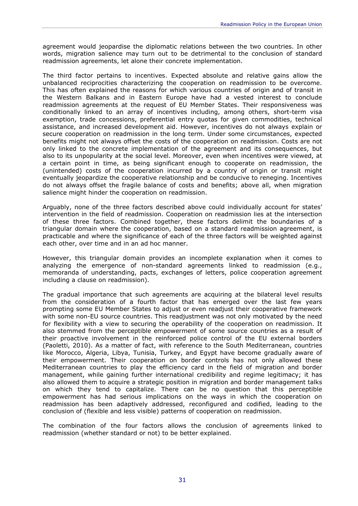agreement would jeopardise the diplomatic relations between the two countries. In other words, migration salience may turn out to be detrimental to the conclusion of standard readmission agreements, let alone their concrete implementation.

The third factor pertains to *incentives*. Expected absolute and relative gains allow the unbalanced reciprocities characterizing the cooperation on readmission to be overcome. This has often explained the reasons for which various countries of origin and of transit in the Western Balkans and in Eastern Europe have had a vested interest to conclude readmission agreements at the request of EU Member States. Their responsiveness was conditionally linked to an array of incentives including, among others, short-term visa exemption, trade concessions, preferential entry quotas for given commodities, technical assistance, and increased development aid. However, incentives do not always explain or secure cooperation on readmission in the long term. Under some circumstances, expected benefits might not always offset the costs of the cooperation on readmission. Costs are not only linked to the concrete implementation of the agreement and its consequences, but also to its unpopularity at the social level. Moreover, even when incentives were viewed, at a certain point in time, as being significant enough to cooperate on readmission, the (unintended) costs of the cooperation incurred by a country of origin or transit might eventually jeopardize the cooperative relationship and be conducive to reneging. Incentives do not always offset the fragile balance of costs and benefits; above all, when migration salience might hinder the cooperation on readmission.

Arguably, none of the three factors described above could *individually* account for states' intervention in the field of readmission. Cooperation on readmission lies at the intersection of these three factors. Combined together, these factors delimit the boundaries of a *triangular domain* where the cooperation, based on a standard readmission agreement, is practicable and where the significance of each of the three factors will be weighted against each other, over time and in an *ad hoc* manner.

However, this triangular domain provides an incomplete explanation when it comes to analyzing the emergence of non-standard agreements linked to readmission (e.g., memoranda of understanding, pacts, exchanges of letters, police cooperation agreement including a clause on readmission).

The gradual importance that such agreements are acquiring at the bilateral level results from the consideration of a fourth factor that has emerged over the last few years prompting some EU Member States to adjust or even readjust their cooperative framework with some non-EU source countries. This readjustment was not only motivated by the need for flexibility with a view to securing the operability of the cooperation on readmission. It also stemmed from the perceptible *empowerment* of some source countries as a result of their proactive involvement in the reinforced police control of the EU external borders (Paoletti, 2010). As a matter of fact, with reference to the South Mediterranean, countries like Morocco, Algeria, Libya, Tunisia, Turkey, and Egypt have become gradually aware of their empowerment. Their cooperation on border controls has not only allowed these Mediterranean countries to play the efficiency card in the field of migration and border management, while gaining further international credibility and regime legitimacy; it has also allowed them to acquire a strategic position in migration and border management talks on which they tend to capitalize. There can be no question that this perceptible empowerment has had serious implications on the ways in which the cooperation on readmission has been adaptively addressed, reconfigured and codified, leading to the conclusion of (flexible and less visible) patterns of cooperation on readmission.

The combination of the four factors allows the conclusion of agreements linked to readmission (whether standard or not) to be better explained.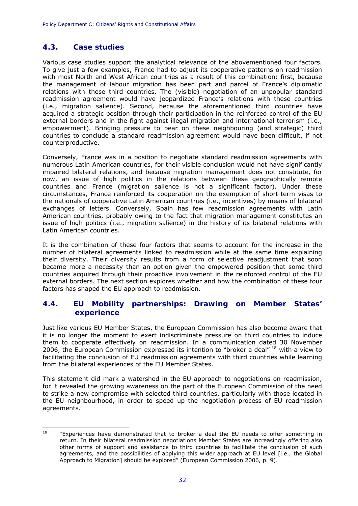## <span id="page-33-0"></span>**4.3. Case studies**

Various case studies support the analytical relevance of the abovementioned four factors. To give just a few examples, France had to adjust its cooperative patterns on readmission with most North and West African countries as a result of this combination: first, because the management of labour migration has been part and parcel of France's diplomatic relations with these third countries. The (visible) negotiation of an unpopular standard readmission agreement would have jeopardized France's relations with these countries (i.e., *migration salience*). Second, because the aforementioned third countries have acquired a strategic position through their participation in the reinforced control of the EU external borders and in the fight against illegal migration and international terrorism (i.e., *empowerment*). Bringing pressure to bear on these neighbouring (and strategic) third countries to conclude a standard readmission agreement would have been difficult, if not counterproductive.

Conversely, France was in a position to negotiate standard readmission agreements with numerous Latin American countries, for their visible conclusion would not have significantly impaired bilateral relations, and because migration management does not constitute, for now, an issue of high politics in the relations between these geographically remote countries and France (*migration salience* is not a significant factor). Under these circumstances, France reinforced its cooperation on the exemption of short-term visas to the nationals of cooperative Latin American countries (i.e., *incentives*) by means of bilateral exchanges of letters. Conversely, Spain has few readmission agreements with Latin American countries, probably owing to the fact that migration management constitutes an issue of high politics (i.e., *migration salience*) in the history of its bilateral relations with Latin American countries.

It is the combination of these four factors that seems to account for the increase in the number of bilateral agreements linked to readmission while at the same time explaining their diversity. Their diversity results from a form of selective readjustment that soon became more a necessity than an option given the empowered position that some third countries acquired through their proactive involvement in the reinforced control of the EU external borders. The next section explores whether and how the combination of these four factors has shaped the EU approach to readmission.

## <span id="page-33-1"></span>**4.4. EU Mobility partnerships: Drawing on Member States' experience**

Just like various EU Member States, the European Commission has also become aware that it is no longer the moment to exert indiscriminate pressure on third countries to induce them to cooperate effectively on readmission. In a communication dated 30 November 2006, the European Commission expressed its intention to "broker a deal"  $^{18}$  $^{18}$  $^{18}$  with a view to facilitating the conclusion of EU readmission agreements with third countries while learning from the bilateral experiences of the EU Member States.

This statement did mark a watershed in the EU approach to negotiations on readmission, for it revealed the growing awareness on the part of the European Commission of the need to strike a new compromise with selected third countries, particularly with those located in the EU neighbourhood, in order to speed up the negotiation process of EU readmission agreements.

<span id="page-33-2"></span><sup>18</sup> "Experiences have demonstrated that to broker a deal the EU needs to offer something in return. In their bilateral readmission negotiations Member States are increasingly offering also other forms of support and assistance to third countries to facilitate the conclusion of such agreements, and the possibilities of applying this wider approach at EU level [i.e., the Global Approach to Migration] should be explored" (European Commission 2006, p. 9).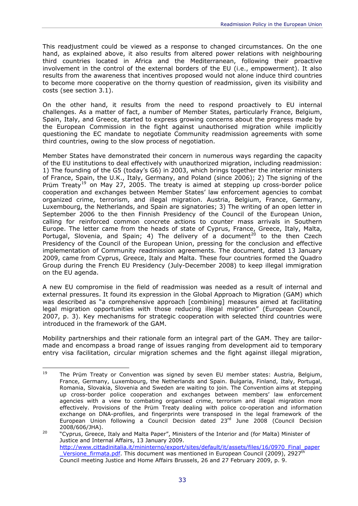This readjustment could be viewed as a response to changed circumstances. On the one hand, as explained above, it also results from altered power relations with neighbouring third countries located in Africa and the Mediterranean, following their proactive involvement in the control of the external borders of the EU (i.e., *empowerment*). It also results from the awareness that incentives proposed would not alone induce third countries to become more cooperative on the thorny question of readmission, given its visibility and costs (see section 3.1).

On the other hand, it results from the need to respond proactively to EU internal challenges. As a matter of fact, a number of Member States, particularly France, Belgium, Spain, Italy, and Greece, started to express growing concerns about the progress made by the European Commission in the fight against unauthorised migration while implicitly questioning the EC mandate to negotiate Community readmission agreements with some third countries, owing to the slow process of negotiation.

Member States have demonstrated their concern in numerous ways regarding the capacity of the EU institutions to deal effectively with unauthorized migration, including readmission: 1) The founding of the G5 (today's G6) in 2003, which brings together the interior ministers of France, Spain, the U.K., Italy, Germany, and Poland (since 2006); 2) The signing of the Prüm Treaty<sup>[19](#page-34-0)</sup> on May 27, 2005. The treaty is aimed at stepping up cross-border police cooperation and exchanges between Member States' law enforcement agencies to combat organized crime, terrorism, and illegal migration. Austria, Belgium, France, Germany, Luxembourg, the Netherlands, and Spain are signatories; 3) The writing of an open letter in September 2006 to the then Finnish Presidency of the Council of the European Union, calling for reinforced common concrete actions to counter mass arrivals in Southern Europe. The letter came from the heads of state of Cyprus, France, Greece, Italy, Malta, Portugal, Slovenia, and Spain; 4) The delivery of a document<sup>[20](#page-34-1)</sup> to the then Czech Presidency of the Council of the European Union, pressing for the conclusion and effective implementation of Community readmission agreements. The document, dated 13 January 2009, came from Cyprus, Greece, Italy and Malta. These four countries formed the *Quadro Group* during the French EU Presidency (July-December 2008) to keep illegal immigration on the EU agenda.

A new EU compromise in the field of readmission was needed as a result of internal and external pressures. It found its expression in the Global Approach to Migration (GAM) which was described as "a comprehensive approach [combining] measures aimed at facilitating legal migration opportunities with those reducing illegal migration" (European Council, 2007, p. 3). Key mechanisms for strategic cooperation with selected third countries were introduced in the framework of the GAM.

Mobility partnerships and their rationale form an integral part of the GAM. They are tailormade and encompass a broad range of issues ranging from development aid to temporary entry visa facilitation, circular migration schemes and the fight against illegal migration,

<span id="page-34-0"></span><sup>19</sup> The Prüm Treaty or Convention was signed by seven EU member states: Austria, Belgium, France, Germany, Luxembourg, the Netherlands and Spain. Bulgaria, Finland, Italy, Portugal, Romania, Slovakia, Slovenia and Sweden are waiting to join. The Convention aims at stepping up cross-border police cooperation and exchanges between members' law enforcement agencies with a view to combating organised crime, terrorism and illegal migration more effectively. Provisions of the Prüm Treaty dealing with police co-operation and information exchange on DNA-profiles, and fingerprints were transposed in the legal framework of the European Union following a Council Decision dated 23rd June 2008 (Council Decision 2008/606/JHA).

<span id="page-34-1"></span><sup>&</sup>lt;sup>20</sup> "Cyprus, Greece, Italy and Malta Paper", Ministers of the Interior and (for Malta) Minister of Justice and Internal Affairs, 13 January 2009. [http://www.cittadinitalia.it/mininterno/export/sites/default/it/assets/files/16/0970\\_Final\\_paper](http://www.cittadinitalia.it/mininterno/export/sites/default/it/assets/files/16/0970_Final_paper_Versione_firmata.pdf) Versione firmata.pdf. This document was mentioned in European Council (2009), 2927<sup>th</sup> Council meeting Justice and Home Affairs Brussels, 26 and 27 February 2009, p. 9.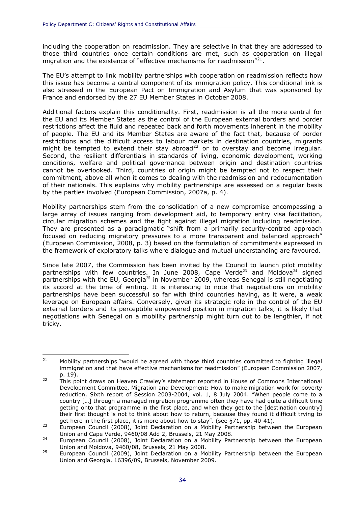including the cooperation on readmission. They are selective in that they are addressed to those third countries once certain conditions are met, such as cooperation on illegal migration and the existence of "effective mechanisms for readmission"<sup>[21](#page-35-0)</sup>.

The EU's attempt to link mobility partnerships with cooperation on readmission reflects how this issue has become a central component of its immigration policy. This conditional link is also stressed in the European Pact on Immigration and Asylum that was sponsored by France and endorsed by the 27 EU Member States in October 2008.

Additional factors explain this conditionality. First, readmission is all the more central for the EU and its Member States as the control of the European external borders and border restrictions affect the fluid and repeated back and forth movements inherent in the mobility of people. The EU and its Member States are aware of the fact that, because of border restrictions and the difficult access to labour markets in destination countries, migrants might be tempted to extend their stay abroad<sup>[22](#page-35-1)</sup> or to overstay and become irregular. Second, the resilient differentials in standards of living, economic development, working conditions, welfare and political governance between origin and destination countries cannot be overlooked. Third, countries of origin might be tempted not to respect their commitment, above all when it comes to dealing with the readmission and redocumentation of their nationals. This explains why mobility partnerships are assessed on a regular basis by the parties involved (European Commission, 2007a, p. 4).

Mobility partnerships stem from the consolidation of a new compromise encompassing a large array of issues ranging from development aid, to temporary entry visa facilitation, circular migration schemes and the fight against illegal migration including readmission. They are presented as a paradigmatic "shift from a primarily security-centred approach focused on reducing migratory pressures to a more transparent and balanced approach" (European Commission, 2008, p. 3) based on the formulation of commitments expressed in the framework of exploratory talks where dialogue and mutual understanding are favoured.

Since late 2007, the Commission has been invited by the Council to launch pilot mobility partnerships with few countries. In June 2008, Cape Verde<sup>[23](#page-35-2)</sup> and Moldova<sup>[24](#page-35-3)</sup> signed partnerships with the EU, Georgia<sup>[25](#page-35-4)</sup> in November 2009, whereas Senegal is still negotiating its accord at the time of writing. It is interesting to note that negotiations on mobility partnerships have been successful so far with third countries having, as it were, a weak leverage on European affairs. Conversely, given its strategic role in the control of the EU external borders and its perceptible empowered position in migration talks, it is likely that negotiations with Senegal on a mobility partnership might turn out to be lengthier, if not tricky.

<span id="page-35-0"></span> $21$ 21 Mobility partnerships "would be agreed with those third countries committed to fighting illegal immigration and that have effective mechanisms for readmission" (European Commission 2007, p. 19).

<span id="page-35-1"></span><sup>&</sup>lt;sup>22</sup> This point draws on Heaven Crawley's statement reported in House of Commons International Development Committee, *Migration and Development: How to make migration work for poverty reduction*, Sixth report of Session 2003-2004, vol. 1, 8 July 2004. "When people come to a country […] through a managed migration programme often they have had quite a difficult time getting onto that programme in the first place, and when they get to the [destination country] their first thought is not to think about how to return, because they found it difficult trying to get here in the first place, it is more about how to stay". (see §71, pp. 40-41).

<span id="page-35-2"></span><sup>&</sup>lt;sup>23</sup> European Council (2008), Joint Declaration on a Mobility Partnership between the European Union and Cape Verde, 9460/08 Add 2, Brussels, 21 May 2008.

<span id="page-35-3"></span> $24$  European Council (2008), Joint Declaration on a Mobility Partnership between the European Union and Moldova, 9460/08, Brussels, 21 May 2008.

<span id="page-35-4"></span><sup>&</sup>lt;sup>25</sup> European Council (2009), Joint Declaration on a Mobility Partnership between the European Union and Georgia, 16396/09, Brussels, November 2009.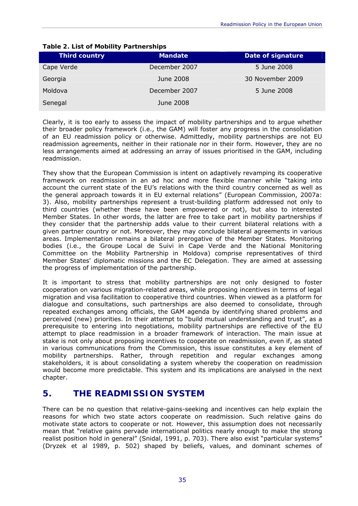| <b>Third country</b> | <b>Mandate</b> | Date of signature |
|----------------------|----------------|-------------------|
| Cape Verde           | December 2007  | 5 June 2008       |
| Georgia              | June 2008      | 30 November 2009  |
| Moldova              | December 2007  | 5 June 2008       |
| Senegal              | June 2008      |                   |

#### **Table 2. List of Mobility Partnerships**

Clearly, it is too early to assess the impact of mobility partnerships and to argue whether their broader policy framework (i.e., the GAM) will foster any progress in the consolidation of an EU readmission policy or otherwise. Admittedly, mobility partnerships are not EU readmission agreements, neither in their rationale nor in their form. However, they are no less arrangements aimed at addressing an array of issues prioritised in the GAM, including readmission.

They show that the European Commission is intent on adaptively revamping its cooperative framework on readmission in an *ad hoc* and more flexible manner while "taking into account the current state of the EU's relations with the third country concerned as well as the general approach towards it in EU external relations" (European Commission, 2007a: 3). Also, mobility partnerships represent a trust-building platform addressed not only to third countries (whether these have been empowered or not), but also to interested Member States. In other words, the latter are free to take part in mobility partnerships if they consider that the partnership adds value to their current bilateral relations with a given partner country or not. Moreover, they may conclude bilateral agreements in various areas. Implementation remains a bilateral prerogative of the Member States. Monitoring bodies (i.e., the *Groupe Local de Suivi* in Cape Verde and the *National Monitoring Committee on the Mobility Partnership* in Moldova) comprise representatives of third Member States' diplomatic missions and the EC Delegation. They are aimed at assessing the *progress* of implementation of the partnership.

It is important to stress that mobility partnerships are not only designed to foster cooperation on various migration-related areas, while proposing incentives in terms of legal migration and visa facilitation to cooperative third countries. When viewed as a platform for dialogue and consultations, such partnerships are also deemed to consolidate, through repeated exchanges among officials, the GAM agenda by identifying shared problems and perceived (new) priorities. In their attempt to "build mutual understanding and trust", as a prerequisite to entering into negotiations, mobility partnerships are reflective of the EU attempt to place readmission in a broader framework of interaction. The main issue at stake is not only about proposing incentives to cooperate on readmission, even if, as stated in various communications from the Commission, this issue constitutes a key element of mobility partnerships. Rather, through repetition and regular exchanges among stakeholders, it is about consolidating a system whereby the cooperation on readmission would become more predictable. This system and its implications are analysed in the next chapter.

## <span id="page-36-1"></span><span id="page-36-0"></span>**5. THE READMISSION SYSTEM**

There can be no question that relative-gains-seeking and incentives can help explain the reasons for which two state actors cooperate on readmission. Such relative gains do motivate state actors to cooperate or not. However, this assumption does not necessarily mean that "relative gains pervade international politics nearly enough to make the strong realist position hold in general" (Snidal, 1991, p. 703). There also exist "particular systems" (Dryzek *et al* 1989, p. 502) shaped by beliefs, values, and dominant schemes of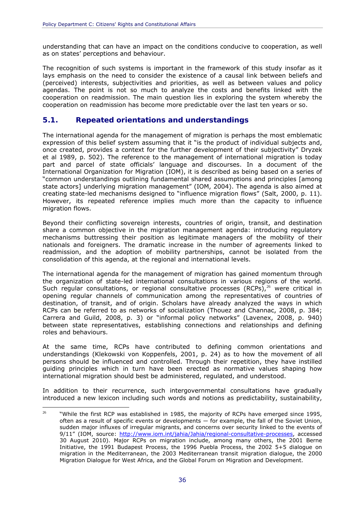understanding that can have an impact on the conditions conducive to cooperation, as well as on states' perceptions and behaviour.

The recognition of such systems is important in the framework of this study insofar as it lays emphasis on the need to consider the existence of a causal link between beliefs and (perceived) interests, subjectivities and priorities, as well as between values and policy agendas. The point is not so much to analyze the costs and benefits linked with the cooperation on readmission. The main question lies in exploring the system whereby the cooperation on readmission has become more predictable over the last ten years or so.

## <span id="page-37-0"></span>**5.1. Repeated orientations and understandings**

The international agenda for the management of migration is perhaps the most emblematic expression of this belief system assuming that it "is the product of individual subjects and, once created, provides a context for the further development of their subjectivity" Dryzek *et al* 1989, p. 502). The reference to the management of international migration is today part and parcel of state officials' language and discourses. In a document of the International Organization for Migration (IOM), it is described as being based on a series of "common understandings outlining fundamental shared assumptions and principles [among state actors] underlying migration management" (IOM, 2004). The agenda is also aimed at creating state-led mechanisms designed to "influence migration flows" (Salt, 2000, p. 11). However, its repeated reference implies much more than the capacity to influence migration flows.

Beyond their conflicting sovereign interests, countries of origin, transit, and destination share a common objective in the migration management agenda: introducing regulatory mechanisms buttressing their position as legitimate managers of the mobility of their nationals and foreigners. The dramatic increase in the number of agreements linked to readmission, and the adoption of mobility partnerships, cannot be isolated from the consolidation of this agenda, at the regional and international levels.

The international agenda for the management of migration has gained momentum through the organization of state-led international consultations in various regions of the world. Such regular consultations, or regional consultative processes (RCPs), $26$  were critical in opening regular channels of communication among the representatives of countries of destination, of transit, and of origin. Scholars have already analyzed the ways in which RCPs can be referred to as networks of socialization (Thouez and Channac, 2008, p. 384; Carrera and Guild, 2008, p. 3) or "informal policy networks" (Lavenex, 2008, p. 940) between state representatives, establishing connections and relationships and defining roles and behaviours.

At the same time, RCPs have contributed to defining common orientations and understandings (Klekowski von Koppenfels, 2001, p. 24) as to how the movement of all persons should be influenced and controlled. Through their repetition, they have instilled guiding principles which in turn have been erected as normative values shaping how international migration should best be administered, regulated, and understood.

In addition to their recurrence, such intergovernmental consultations have gradually introduced a new lexicon including such words and notions as *predictability*, *sustainability*,

<span id="page-37-1"></span> $26$ "While the first RCP was established in 1985, the majority of RCPs have emerged since 1995, often as a result of specific events or developments ― for example, the fall of the Soviet Union, sudden major influxes of irregular migrants, and concerns over security linked to the events of 9/11" (IOM, source: <http://www.iom.int/jahia/Jahia/regional-consultative-processes>, accessed 30 August 2010). Major RCPs on migration include, among many others, the 2001 Berne Initiative, the 1991 Budapest Process, the 1996 Puebla Process, the 2002 5+5 dialogue on migration in the Mediterranean, the 2003 Mediterranean transit migration dialogue, the 2000 Migration Dialogue for West Africa, and the Global Forum on Migration and Development.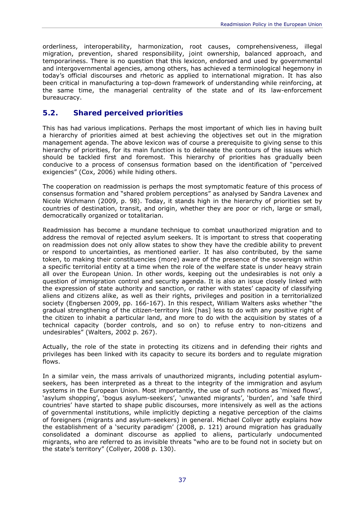*orderliness*, *interoperability*, *harmonization*, *root causes*, *comprehensiveness*, *illegal migration*, *prevention*, *shared responsibility*, *joint ownership*, *balanced approach*, and *temporariness*. There is no question that this lexicon, endorsed and used by governmental and intergovernmental agencies, among others, has achieved a terminological hegemony in today's official discourses and rhetoric as applied to international migration. It has also been critical in manufacturing a top-down framework of understanding while reinforcing, at the same time, the managerial centrality of the state and of its law-enforcement bureaucracy.

## <span id="page-38-0"></span>**5.2. Shared perceived priorities**

This has had various implications. Perhaps the most important of which lies in having built a hierarchy of priorities aimed at best achieving the objectives set out in the migration management agenda. The above lexicon was of course a prerequisite to giving sense to this hierarchy of priorities, for its main function is to delineate the contours of the issues which should be tackled first and foremost. This hierarchy of priorities has gradually been conducive to a process of consensus formation based on the identification of "perceived exigencies" (Cox, 2006) while hiding others.

The cooperation on readmission is perhaps the most symptomatic feature of this process of consensus formation and "shared problem perceptions" as analysed by Sandra Lavenex and Nicole Wichmann (2009, p. 98). Today, it stands high in the hierarchy of priorities set by countries of destination, transit, and origin, whether they are poor or rich, large or small, democratically organized or totalitarian.

Readmission has become a mundane technique to combat unauthorized migration and to address the removal of rejected asylum seekers. It is important to stress that cooperating on readmission does not only allow states to *show* they have the credible ability to prevent or respond to uncertainties, as mentioned earlier. It has also contributed, by the same token, to making their constituencies (more) aware of the presence of the sovereign within a specific territorial entity at a time when the role of the welfare state is under heavy strain all over the European Union. In other words, keeping out the undesirables is not *only* a question of immigration control and security agenda. It is also an issue closely linked with the expression of state authority and sanction, or rather with states' capacity of classifying aliens and citizens alike, as well as their rights, privileges and position in a territorialized society (Engbersen 2009, pp. 166-167). In this respect, William Walters asks whether "the gradual strengthening of the citizen-territory link [has] less to do with any positive right of the citizen to inhabit a particular land, and more to do with the acquisition by states of a technical capacity (border controls, and so on) to refuse entry to non-citizens and undesirables" (Walters, 2002 p. 267).

Actually, the role of the state in protecting its citizens and in defending their rights and privileges has been linked with its capacity to secure its borders and to regulate migration flows.

In a similar vein, the mass arrivals of unauthorized migrants, including potential asylumseekers, has been interpreted as a threat to the integrity of the immigration and asylum systems in the European Union. Most importantly, the use of such notions as 'mixed flows', 'asylum shopping', 'bogus asylum-seekers', 'unwanted migrants', 'burden', and 'safe third countries' have started to shape public discourses, more intensively as well as the actions of governmental institutions, while implicitly depicting a negative perception of the claims of foreigners (migrants and asylum-seekers) in general. Michael Collyer aptly explains how the establishment of a 'security paradigm' (2008, p. 121) around migration has gradually consolidated a dominant discourse as applied to aliens, particularly undocumented migrants, who are referred to as invisible threats "who are to be found not in society but on the state's territory" (Collyer, 2008 p. 130).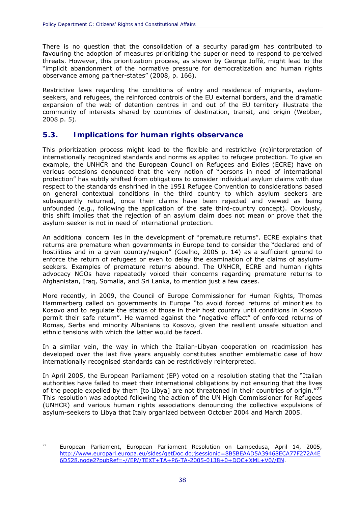There is no question that the consolidation of a security paradigm has contributed to favouring the adoption of measures prioritizing the superior need to respond to perceived threats. However, this prioritization process, as shown by George Joffé, might lead to the "implicit abandonment of the normative pressure for democratization and human rights observance among partner-states" (2008, p. 166).

Restrictive laws regarding the conditions of entry and residence of migrants, asylumseekers, and refugees, the reinforced controls of the EU external borders, and the dramatic expansion of the web of detention centres in and out of the EU territory illustrate the community of interests shared by countries of destination, transit, and origin (Webber, 2008 p. 5).

## <span id="page-39-0"></span>**5.3. Implications for human rights observance**

This prioritization process might lead to the flexible and restrictive (re)interpretation of internationally recognized standards and norms as applied to refugee protection. To give an example, the UNHCR and the European Council on Refugees and Exiles (ECRE) have on various occasions denounced that the very notion of "persons in need of international protection" has subtly shifted from obligations to consider *individual* asylum claims with due respect to the standards enshrined in the 1951 Refugee Convention to considerations based on *general* contextual conditions in the third country to which asylum seekers are subsequently returned, once their claims have been rejected and viewed as being unfounded (e.g., following the application of the safe third-country concept). Obviously, this shift implies that the rejection of an asylum claim does not mean or prove that the asylum-seeker is not in need of international protection.

An additional concern lies in the development of "premature returns". ECRE explains that returns are premature when governments in Europe tend to consider the "declared end of hostilities and in a given country/region" (Coelho, 2005 p. 14) as a sufficient ground to enforce the return of refugees or even to delay the examination of the claims of asylumseekers. Examples of premature returns abound. The UNHCR, ECRE and human rights advocacy NGOs have repeatedly voiced their concerns regarding premature returns to Afghanistan, Iraq, Somalia, and Sri Lanka, to mention just a few cases.

More recently, in 2009, the Council of Europe Commissioner for Human Rights, Thomas Hammarberg called on governments in Europe "to avoid forced returns of minorities to Kosovo and to regulate the status of those in their host country until conditions in Kosovo permit their safe return". He warned against the "negative effect" of enforced returns of Romas, Serbs and minority Albanians to Kosovo, given the resilient unsafe situation and ethnic tensions with which the latter would be faced.

In a similar vein, the way in which the Italian-Libyan cooperation on readmission has developed over the last five years arguably constitutes another emblematic case of how internationally recognised standards can be restrictively reinterpreted.

In April 2005, the European Parliament (EP) voted on a resolution stating that the "Italian authorities have failed to meet their international obligations by not ensuring that the lives of the people expelled by them [to Libya] are not threatened in their countries of origin." $^{27}$  $^{27}$  $^{27}$ This resolution was adopted following the action of the UN High Commissioner for Refugees (UNHCR) and various human rights associations denouncing the collective expulsions of asylum-seekers to Libya that Italy organized between October 2004 and March 2005.

<span id="page-39-1"></span> $27$ <sup>27</sup> European Parliament, *European Parliament Resolution on Lampedusa*, April 14, 2005, [http://www.europarl.europa.eu/sides/getDoc.do;jsessionid=8B5BEAAD5A39468ECA77F272A4E](http://www.europarl.europa.eu/sides/getDoc.do;jsessionid=8B5BEAAD5A39468ECA77F272A4E6D528.node2?pubRef=-//EP//TEXT+TA+P6-TA-2005-0138+0+DOC+XML+V0//EN) [6D528.node2?pubRef=-//EP//TEXT+TA+P6-TA-2005-0138+0+DOC+XML+V0//EN.](http://www.europarl.europa.eu/sides/getDoc.do;jsessionid=8B5BEAAD5A39468ECA77F272A4E6D528.node2?pubRef=-//EP//TEXT+TA+P6-TA-2005-0138+0+DOC+XML+V0//EN)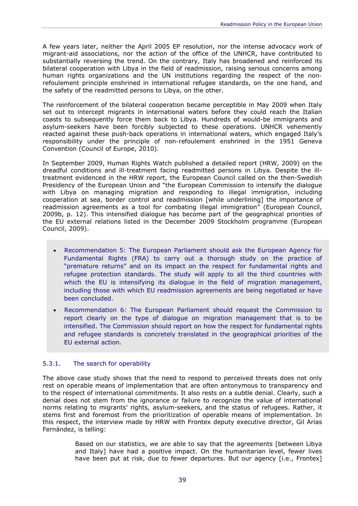A few years later, neither the April 2005 EP resolution, nor the intense advocacy work of migrant-aid associations, nor the action of the office of the UNHCR, have contributed to substantially reversing the trend. On the contrary, Italy has broadened and reinforced its bilateral cooperation with Libya in the field of readmission, raising serious concerns among human rights organizations and the UN institutions regarding the respect of the *nonrefoulement* principle enshrined in international refugee standards, on the one hand, and the safety of the readmitted persons to Libya, on the other.

The reinforcement of the bilateral cooperation became perceptible in May 2009 when Italy set out to intercept migrants in international waters before they could reach the Italian coasts to subsequently force them back to Libya. Hundreds of would-be immigrants and asylum-seekers have been forcibly subjected to these operations. UNHCR vehemently reacted against these push-back operations in international waters, which engaged Italy's responsibility under the principle of *non-refoulement* enshrined in the 1951 Geneva Convention (Council of Europe, 2010).

In September 2009, Human Rights Watch published a detailed report (HRW, 2009) on the dreadful conditions and ill-treatment facing readmitted persons in Libya. Despite the illtreatment evidenced in the HRW report, the European Council called on the then-Swedish Presidency of the European Union and "the European Commission to intensify the dialogue with Libya on managing migration and responding to illegal immigration, including cooperation at sea, border control and readmission [while underlining] the importance of readmission agreements as a tool for combating illegal immigration" (European Council, 2009b, p. 12). This intensified dialogue has become part of the geographical priorities of the EU external relations listed in the December 2009 Stockholm programme (European Council, 2009).

- Recommendation 5: The European Parliament should ask the European Agency for Fundamental Rights (FRA) to carry out a thorough study on the practice of "premature returns" and on its impact on the respect for fundamental rights and refugee protection standards. The study will apply to all the third countries with which the EU is intensifying its dialogue in the field of migration management, including those with which EU readmission agreements are being negotiated or have been concluded.
- Recommendation 6: The European Parliament should request the Commission to report clearly on the type of dialogue on migration management that is to be intensified. The Commission should report on how the respect for fundamental rights and refugee standards is concretely translated in the geographical priorities of the EU external action.

#### <span id="page-40-0"></span>5.3.1. The search for operability

The above case study shows that the need to respond to perceived threats does not only rest on operable means of implementation that are often antonymous to transparency and to the respect of international commitments. It also rests on a subtle denial. Clearly, such a denial does not stem from the ignorance or failure to recognize the value of international norms relating to migrants' rights, asylum-seekers, and the status of refugees. Rather, it stems first and foremost from the *prioritization* of operable means of implementation. In this respect, the interview made by HRW with Frontex deputy executive director, Gil Arias Fernández, is telling:

> Based on our statistics, we are able to say that the agreements [between Libya and Italy] have had a positive impact. On the humanitarian level, fewer lives have been put at risk, due to fewer departures. But our agency [i.e., Frontex]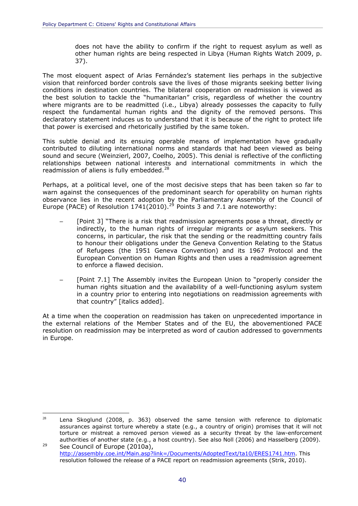does not have the ability to confirm if the right to request asylum as well as other human rights are being respected in Libya (Human Rights Watch 2009, p. 37).

The most eloquent aspect of Arias Fernández's statement lies perhaps in the subjective vision that reinforced border controls save the lives of those migrants seeking better living conditions in destination countries. The bilateral cooperation on readmission is viewed as the best solution to tackle the "humanitarian" crisis, regardless of whether the country where migrants are to be readmitted (i.e., Libya) already possesses the capacity to fully respect the fundamental human rights and the dignity of the removed persons. This declaratory statement induces us to understand that it is because of the right to protect life that power is exercised and rhetorically justified by the same token.

This subtle denial and its ensuing operable means of implementation have gradually contributed to diluting international norms and standards that had been viewed as being sound and secure (Weinzierl, 2007, Coelho, 2005). This denial is reflective of the conflicting relationships between national interests and international commitments in which the readmission of aliens is fully embedded.<sup>[28](#page-41-0)</sup>

Perhaps, at a political level, one of the most decisive steps that has been taken so far to warn against the consequences of the predominant search for operability on human rights observance lies in the recent adoption by the Parliamentary Assembly of the Council of Europe (PACE) of Resolution  $1741(2010).^{29}$  $1741(2010).^{29}$  $1741(2010).^{29}$  Points 3 and 7.1 are noteworthy:

- [Point 3] "There is a risk that readmission agreements pose a threat, directly or indirectly, to the human rights of irregular migrants or asylum seekers. This concerns, in particular, the risk that the sending or the readmitting country fails to honour their obligations under the Geneva Convention Relating to the Status of Refugees (the 1951 Geneva Convention) and its 1967 Protocol and the European Convention on Human Rights and then uses a readmission agreement to enforce a flawed decision.
- [Point 7.1] The Assembly invites the European Union to "*properly* consider the human rights situation and the availability of a well-functioning asylum system in a country prior to entering into negotiations on readmission agreements with that country" [italics added].

At a time when the cooperation on readmission has taken on unprecedented importance in the external relations of the Member States and of the EU, the abovementioned PACE resolution on readmission may be interpreted as word of caution addressed to governments in Europe.

<span id="page-41-0"></span><sup>28</sup> <sup>28</sup> Lena Skoglund (2008, p. 363) observed the same tension with reference to *diplomatic assurances against torture* whereby a state (e.g., a country of origin) promises that it will not torture or mistreat a removed person viewed as a security threat by the law-enforcement authorities of another state (e.g., a host country). See also Noll (2006) and Hasselberg (2009).

<span id="page-41-1"></span> $29$  See Council of Europe (2010a), <http://assembly.coe.int/Main.asp?link=/Documents/AdoptedText/ta10/ERES1741.htm>. This resolution followed the release of a PACE report on readmission agreements (Strik, 2010).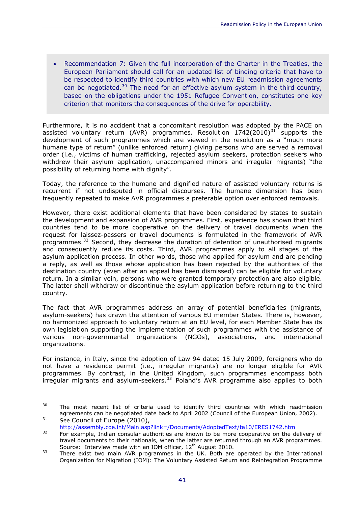Recommendation 7: Given the full incorporation of the Charter in the Treaties, the European Parliament should call for an updated list of binding criteria that have to be respected to identify third countries with which new EU readmission agreements can be negotiated.<sup>[30](#page-42-0)</sup> The need for an effective asylum system in the third country, based on the obligations under the 1951 Refugee Convention, constitutes one key criterion that monitors the consequences of the drive for operability.

Furthermore, it is no accident that a concomitant resolution was adopted by the PACE on assisted voluntary return (AVR) programmes. Resolution  $1742(2010)^{31}$  $1742(2010)^{31}$  $1742(2010)^{31}$  supports the development of such programmes which are viewed in the resolution as a "much more humane type of return" (unlike enforced return) giving persons who are served a removal order (i.e., victims of human trafficking, rejected asylum seekers, protection seekers who withdrew their asylum application, unaccompanied minors and irregular migrants) "the possibility of returning home with dignity".

Today, the reference to the humane and dignified nature of assisted voluntary returns is recurrent if not undisputed in official discourses. The humane dimension has been frequently repeated to make AVR programmes a preferable option over enforced removals.

However, there exist additional elements that have been considered by states to sustain the development and expansion of AVR programmes. First, experience has shown that third countries tend to be more cooperative on the delivery of travel documents when the request for *laissez-passers* or travel documents is formulated in the framework of AVR programmes.<sup>[32](#page-42-2)</sup> Second, they decrease the duration of detention of unauthorised migrants and consequently reduce its costs. Third, AVR programmes apply to all stages of the asylum application process. In other words, those who applied for asylum and are pending a reply, as well as those whose application has been rejected by the authorities of the destination country (even after an appeal has been dismissed) can be eligible for voluntary return. In a similar vein, persons who were granted temporary protection are also eligible. The latter shall withdraw or discontinue the asylum application before returning to the third country.

The fact that AVR programmes address an array of potential beneficiaries (migrants, asylum-seekers) has drawn the attention of various EU member States. There is, however, no harmonized approach to voluntary return at an EU level, for each Member State has its own legislation supporting the implementation of such programmes with the assistance of various non-governmental organizations (NGOs), associations, and international organizations.

For instance, in Italy, since the adoption of Law 94 dated 15 July 2009, foreigners who do not have a residence permit (i.e., irregular migrants) are no longer eligible for AVR programmes. By contrast, in the United Kingdom, such programmes encompass both  $irregular$  migrants and asylum-seekers.<sup>[33](#page-42-3)</sup> Poland's AVR programme also applies to both

<span id="page-42-1"></span><http://assembly.coe.int/Main.asp?link=/Documents/AdoptedText/ta10/ERES1742.htm>

<span id="page-42-0"></span> $30$ The most recent list of criteria used to identify third countries with which readmission agreements can be negotiated date back to April 2002 (Council of the European Union, 2002).  $31$  See Council of Europe (2010),

<span id="page-42-2"></span><sup>&</sup>lt;sup>32</sup> For example, Indian consular authorities are known to be more cooperative on the delivery of travel documents to their nationals, when the latter are returned through an AVR programmes. Source: Interview made with an IOM officer, 12<sup>th</sup> August 2010.

<span id="page-42-3"></span> $33$  There exist two main AVR programmes in the UK. Both are operated by the International Organization for Migration (IOM): The Voluntary Assisted Return and Reintegration Programme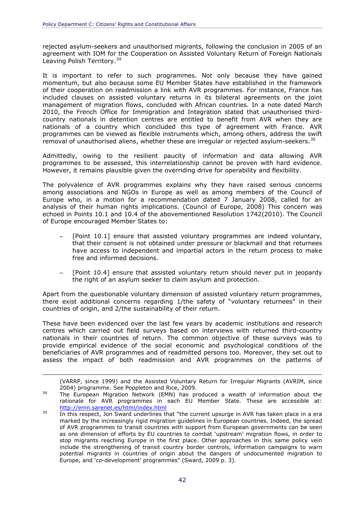rejected asylum-seekers and unauthorised migrants, following the conclusion in 2005 of an agreement with IOM for the Cooperation on Assisted Voluntary Return of Foreign Nationals Leaving Polish Territory.<sup>[34](#page-43-0)</sup>

It is important to refer to such programmes. Not only because they have gained momentum, but also because some EU Member States have established in the framework of their cooperation on readmission a link with AVR programmes. For instance, France has included clauses on assisted voluntary returns in its bilateral agreements on the joint management of migration flows, concluded with African countries. In a note dated March 2010, the French Office for Immigration and Integration stated that unauthorised thirdcountry nationals in detention centres are entitled to benefit from AVR when they are nationals of a country which concluded this type of agreement with France. AVR programmes can be viewed as flexible instruments which, among others, address the swift removal of unauthorised aliens, whether these are irregular or rejected asylum-seekers.<sup>[35](#page-43-1)</sup>

Admittedly, owing to the resilient paucity of information and data allowing AVR programmes to be assessed, this interrelationship cannot be proven with hard evidence. However, it remains plausible given the overriding drive for operability and flexibility.

The polyvalence of AVR programmes explains why they have raised serious concerns among associations and NGOs in Europe as well as among members of the Council of Europe who, in a motion for a recommendation dated 7 January 2008, called for an analysis of their human rights implications. (Council of Europe, 2008) This concern was echoed in Points 10.1 and 10.4 of the abovementioned Resolution 1742(2010). The Council of Europe encouraged Member States to:

- [Point 10.1] ensure that assisted voluntary programmes are indeed voluntary, that their consent is not obtained under pressure or blackmail and that returnees have access to independent and impartial actors in the return process to make free and informed decisions.
- [Point 10.4] ensure that assisted voluntary return should never put in jeopardy the right of an asylum seeker to claim asylum and protection.

Apart from the questionable voluntary dimension of assisted voluntary return programmes, there exist additional concerns regarding 1/the safety of "voluntary returnees" in their countries of origin, and 2/the sustainability of their return.

These have been evidenced over the last few years by academic institutions and research centres which carried out field surveys based on interviews with returned third-country nationals in their countries of return. The common objective of these surveys was to provide empirical evidence of the social economic and psychological conditions of the beneficiaries of AVR programmes and of readmitted persons too. Moreover, they set out to assess the impact of both readmission and AVR programmes on the patterns of

<u>.</u>

<sup>(</sup>VARRP, since 1999) and the Assisted Voluntary Return for Irregular Migrants (AVRIM, since 2004) programme. See Poppleton and Rice, 2009.

<span id="page-43-0"></span><sup>&</sup>lt;sup>34</sup> The European Migration Network (EMN) has produced a wealth of information about the rationale for AVR programmes in each EU Member State. These are accessible at: <http://emn.sarenet.es/html/index.html>

<span id="page-43-1"></span><sup>&</sup>lt;sup>35</sup> In this respect, Jon Sward underlines that "the current upsurge in AVR has taken place in a era marked by the increasingly rigid migration guidelines in European countries. Indeed, the spread of AVR programmes to transit countries with support from European governments can be seen as one dimension of efforts by EU countries to combat 'upstream' migration flows, in order to stop migrants reaching Europe in the first place. Other approaches in this same policy vein include the strengthening of transit country border controls, information campaigns to warn potential migrants in countries of origin about the dangers of undocumented migration to Europe, and 'co-development' programmes" (Sward, 2009 p. 3).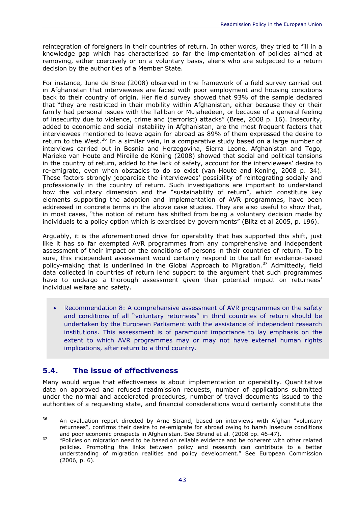reintegration of foreigners in their countries of return. In other words, they tried to fill in a knowledge gap which has characterised so far the implementation of policies aimed at removing, either coercively or on a voluntary basis, aliens who are subjected to a return decision by the authorities of a Member State.

For instance, June de Bree (2008) observed in the framework of a field survey carried out in Afghanistan that interviewees are faced with poor employment and housing conditions back to their country of origin. Her field survey showed that 93% of the sample declared that "they are restricted in their mobility within Afghanistan, either because they or their family had personal issues with the Taliban or Mujahedeen, or because of a general feeling of insecurity due to violence, crime and (terrorist) attacks" (Bree, 2008 p. 16). Insecurity, added to economic and social instability in Afghanistan, are the most frequent factors that interviewees mentioned to leave again for abroad as 89% of them expressed the desire to return to the West.<sup>[36](#page-44-1)</sup> In a similar vein, in a comparative study based on a large number of interviews carried out in Bosnia and Herzegovina, Sierra Leone, Afghanistan and Togo, Marieke van Houte and Mireille de Koning (2008) showed that social and political tensions in the country of return, added to the lack of safety, account for the interviewees' desire to re-emigrate, even when obstacles to do so exist (van Houte and Koning, 2008 p. 34). These factors strongly jeopardise the interviewees' possibility of reintegrating socially and professionally in the country of return. Such investigations are important to understand how the voluntary dimension and the "sustainability of return", which constitute key elements supporting the adoption and implementation of AVR programmes, have been addressed in concrete terms in the above case studies. They are also useful to show that, in most cases, "the notion of return has shifted from being a voluntary decision made by individuals to a policy option which is exercised by governments" (Blitz *et al* 2005, p. 196).

Arguably, it is the aforementioned drive for operability that has supported this shift, just like it has so far exempted AVR programmes from any comprehensive and *independent* assessment of their impact on the conditions of persons in their countries of return. To be sure, this independent assessment would certainly respond to the call for evidence-based policy-making that is underlined in the Global Approach to Migration.<sup>[37](#page-44-2)</sup> Admittedly, field data collected in countries of return lend support to the argument that such programmes have to undergo a thorough assessment given their potential impact on returnees' individual welfare and safety.

 Recommendation 8: A comprehensive assessment of AVR programmes on the safety and conditions of all "voluntary returnees" in third countries of return should be undertaken by the European Parliament with the assistance of *independent* research institutions. This assessment is of paramount importance to lay emphasis on the extent to which AVR programmes may or may not have external human rights implications, after return to a third country.

## <span id="page-44-0"></span>**5.4. The issue of effectiveness**

Many would argue that effectiveness is about *implementation* or operability. Quantitative data on approved and refused readmission requests, number of applications submitted under the normal and accelerated procedures, number of travel documents issued to the authorities of a requesting state, and financial considerations would certainly constitute the

<span id="page-44-1"></span><sup>36</sup> An evaluation report directed by Arne Strand, based on interviews with Afghan "voluntary returnees", confirms their desire to re-emigrate for abroad owing to harsh insecure conditions and poor economic prospects in Afghanistan. See Strand *et al.* (2008 pp. 46-47).

<span id="page-44-2"></span><sup>&</sup>lt;sup>37</sup> "Policies on migration need to be based on reliable evidence and be coherent with other related policies. Promoting the links between policy and research can contribute to a better understanding of migration realities and policy development." See European Commission (2006, p. 6).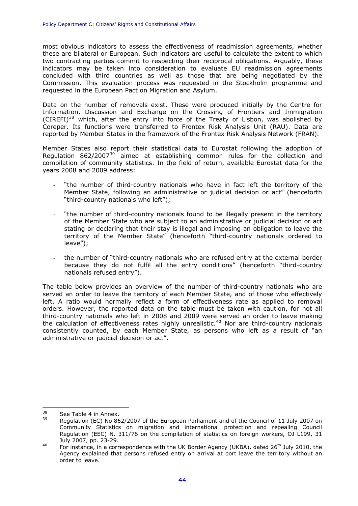most obvious indicators to assess the effectiveness of readmission agreements, whether these are bilateral or European. Such indicators are useful to calculate the extent to which two contracting parties commit to respecting their reciprocal obligations. Arguably, these indicators may be taken into consideration to evaluate EU readmission agreements concluded with third countries as well as those that are being negotiated by the Commission. This evaluation process was requested in the Stockholm programme and requested in the European Pact on Migration and Asylum.

Data on the number of removals exist. These were produced initially by the Centre for Information, Discussion and Exchange on the Crossing of Frontiers and Immigration (CIREFI)<sup>[38](#page-45-0)</sup> which, after the entry into force of the Treaty of Lisbon, was abolished by Coreper. Its functions were transferred to Frontex Risk Analysis Unit (RAU). Data are reported by Member States in the framework of the Frontex Risk Analysis Network (FRAN).

Member States also report their statistical data to Eurostat following the adoption of Regulation  $862/2007^{39}$  $862/2007^{39}$  $862/2007^{39}$  aimed at establishing common rules for the collection and compilation of community statistics. In the field of return, available Eurostat data for the years 2008 and 2009 address:

- "the number of third-country nationals who have in fact left the territory of the Member State, following an administrative or judicial decision or act" (henceforth "third-country nationals who left");
- "the number of third-country nationals found to be illegally present in the territory of the Member State who are subject to an administrative or judicial decision or act stating or declaring that their stay is illegal and imposing an obligation to leave the territory of the Member State" (henceforth "third-country nationals ordered to leave");
- the number of "third-country nationals who are refused entry at the external border because they do not fulfil all the entry conditions" (henceforth "third-country nationals refused entry").

The table below provides an overview of the number of third-country nationals who are served an order to leave the territory of each Member State, and of those who effectively left. A ratio would normally reflect a form of effectiveness rate as applied to removal orders. However, the reported data on the table must be taken with caution, for not all third-country nationals who left in 2008 and 2009 were served an order to leave making the calculation of effectiveness rates highly unrealistic.<sup>[40](#page-45-2)</sup> Nor are third-country nationals consistently counted, by each Member State, as persons who left as a result of "an administrative or judicial decision or act".

<span id="page-45-0"></span><sup>38</sup>  $38$  See Table 4 in Annex.<br> $39$  Begulation (EG) No. 86

<span id="page-45-1"></span><sup>39</sup> Regulation (EC) No 862/2007 of the European Parliament and of the Council of 11 July 2007 on Community Statistics on migration and international protection and repealing Council Regulation (EEC) N. 311/76 on the compilation of statistics on foreign workers, OJ L199, 31 July 2007, pp. 23-29.

<span id="page-45-2"></span> $\frac{40}{10}$  For instance, in a correspondence with the UK Border Agency (UKBA), dated 26<sup>th</sup> July 2010, the Agency explained that persons refused entry on arrival at port leave the territory without an order to leave.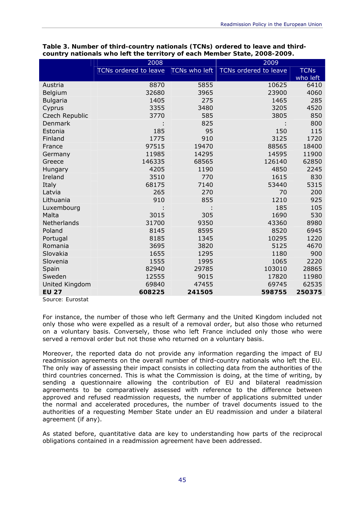|                 | 2008                         |               | 2009                         |                  |
|-----------------|------------------------------|---------------|------------------------------|------------------|
|                 | <b>TCNs ordered to leave</b> | TCNs who left | <b>TCNs ordered to leave</b> | <b>TCNs</b>      |
| Austria         | 8870                         | 5855          | 10625                        | who left<br>6410 |
| Belgium         | 32680                        | 3965          | 23900                        | 4060             |
| <b>Bulgaria</b> | 1405                         | 275           | 1465                         | 285              |
| Cyprus          | 3355                         | 3480          | 3205                         | 4520             |
| Czech Republic  | 3770                         | 585           | 3805                         | 850              |
| Denmark         |                              | 825           |                              | 800              |
| Estonia         | 185                          | 95            | 150                          | 115              |
| Finland         | 1775                         | 910           | 3125                         | 1720             |
| France          | 97515                        | 19470         | 88565                        | 18400            |
| Germany         | 11985                        | 14295         | 14595                        | 11900            |
| Greece          | 146335                       | 68565         | 126140                       | 62850            |
| Hungary         | 4205                         | 1190          | 4850                         | 2245             |
| Ireland         | 3510                         | 770           | 1615                         | 830              |
| Italy           | 68175                        | 7140          | 53440                        | 5315             |
| Latvia          | 265                          | 270           | 70                           | 200              |
| Lithuania       | 910                          | 855           | 1210                         | 925              |
| Luxembourg      |                              |               | 185                          | 105              |
| Malta           | 3015                         | 305           | 1690                         | 530              |
| Netherlands     | 31700                        | 9350          | 43360                        | 8980             |
| Poland          | 8145                         | 8595          | 8520                         | 6945             |
| Portugal        | 8185                         | 1345          | 10295                        | 1220             |
| Romania         | 3695                         | 3820          | 5125                         | 4670             |
| Slovakia        | 1655                         | 1295          | 1180                         | 900              |
| Slovenia        | 1555                         | 1995          | 1065                         | 2220             |
| Spain           | 82940                        | 29785         | 103010                       | 28865            |
| Sweden          | 12555                        | 9015          | 17820                        | 11980            |
| United Kingdom  | 69840                        | 47455         | 69745                        | 62535            |
| <b>EU 27</b>    | 608225                       | 241505        | 598755                       | 250375           |

**Table 3. Number of third-country nationals (TCNs) ordered to leave and thirdcountry nationals who left the territory of each Member State, 2008-2009.** 

*Source: Eurostat* 

For instance, the number of those who left Germany and the United Kingdom included not only those who were expelled as a result of a removal order, but also those who returned on a voluntary basis. Conversely, those who left France included only those who were served a removal order but not those who returned on a voluntary basis.

<span id="page-46-0"></span>Moreover, the reported data do not provide any information regarding the impact of EU readmission agreements on the overall number of third-country nationals who left the EU. The only way of assessing their impact consists in collecting data from the authorities of the third countries concerned. This is what the Commission is doing, at the time of writing, by sending a questionnaire allowing the contribution of EU and bilateral readmission agreements to be comparatively assessed with reference to the difference between approved and refused readmission requests, the number of applications submitted under the normal and accelerated procedures, the number of travel documents issued to the authorities of a requesting Member State under an EU readmission and under a bilateral agreement (if any).

As stated before, quantitative data are key to understanding how parts of the reciprocal obligations contained in a readmission agreement have been addressed.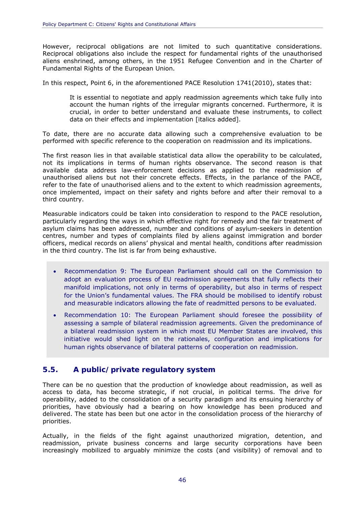However, reciprocal obligations are not limited to such quantitative considerations. Reciprocal obligations also include the respect for fundamental rights of the unauthorised aliens enshrined, among others, in the 1951 Refugee Convention and in the Charter of Fundamental Rights of the European Union.

In this respect, Point 6, in the aforementioned PACE Resolution 1741(2010), states that:

It is essential to negotiate and apply readmission agreements which take fully into account the human rights of the irregular migrants concerned. Furthermore, it is crucial, in order to better understand and evaluate these instruments, to collect data on their *effects* and *implementation* [italics added].

To date, there are no accurate data allowing such a comprehensive evaluation to be performed with specific reference to the cooperation on readmission and its implications.

The first reason lies in that available statistical data allow the operability to be calculated, not its implications in terms of human rights observance. The second reason is that available data address law-enforcement decisions as applied to the readmission of unauthorised aliens but not their concrete effects. Effects, in the parlance of the PACE, refer to the *fate of unauthorised aliens* and to the extent to which readmission agreements, once implemented, impact on their safety and rights before and after their removal to a third country.

Measurable indicators could be taken into consideration to respond to the PACE resolution, particularly regarding the ways in which effective right for remedy and the fair treatment of asylum claims has been addressed, number and conditions of asylum-seekers in detention centres, number and types of complaints filed by aliens against immigration and border officers, medical records on aliens' physical and mental health, conditions after readmission in the third country. The list is far from being exhaustive.

- Recommendation 9: The European Parliament should call on the Commission to adopt an evaluation process of EU readmission agreements that fully reflects their manifold implications, not only in terms of operability, but also in terms of respect for the Union's fundamental values. The FRA should be mobilised to identify robust and measurable indicators allowing the fate of readmitted persons to be evaluated.
- Recommendation 10: The European Parliament should foresee the possibility of assessing a sample of bilateral readmission agreements. Given the predominance of a bilateral readmission system in which most EU Member States are involved, this initiative would shed light on the rationales, configuration and implications for human rights observance of bilateral patterns of cooperation on readmission.

## <span id="page-47-0"></span>**5.5. A public/private regulatory system**

There can be no question that the production of knowledge about readmission, as well as access to data, has become strategic, if not crucial, in political terms. The drive for operability, added to the consolidation of a security paradigm and its ensuing hierarchy of priorities, have obviously had a bearing on how knowledge has been produced and delivered. The state has been but one actor in the consolidation process of the hierarchy of priorities.

Actually, in the fields of the fight against unauthorized migration, detention, and readmission, private business concerns and large security corporations have been increasingly mobilized to arguably minimize the costs (and visibility) of removal and to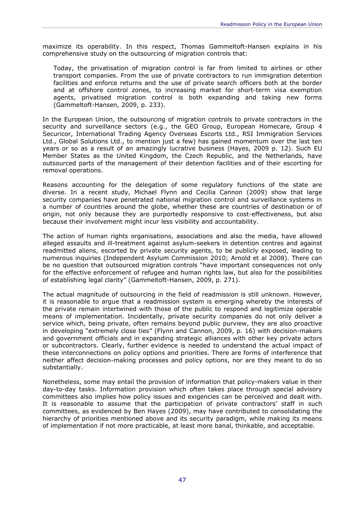maximize its operability. In this respect, Thomas Gammeltoft-Hansen explains in his comprehensive study on the outsourcing of migration controls that:

Today, the privatisation of migration control is far from limited to airlines or other transport companies. From the use of private contractors to run immigration detention facilities and enforce returns and the use of private search officers both at the border and at offshore control zones, to increasing market for short-term visa exemption agents, privatised migration control is both expanding and taking new forms (Gammeltoft-Hansen, 2009, p. 233).

In the European Union, the outsourcing of migration controls to private contractors in the security and surveillance sectors (e.g., the GEO Group, European Homecare, Group 4 Securicor, International Trading Agency Overseas Escorts Ltd., RSI Immigration Services Ltd., Global Solutions Ltd., to mention just a few) has gained momentum over the last ten years or so as a result of an amazingly lucrative business (Hayes, 2009 p. 12). Such EU Member States as the United Kingdom, the Czech Republic, and the Netherlands, have outsourced parts of the management of their detention facilities and of their escorting for removal operations.

Reasons accounting for the delegation of some regulatory functions of the state are diverse. In a recent study, Michael Flynn and Cecilia Cannon (2009) show that large security companies have penetrated national migration control and surveillance systems in a number of countries around the globe, whether these are countries of destination or of origin, not only because they are purportedly responsive to cost-effectiveness, but also because their involvement might incur less visibility and accountability.

The action of human rights organisations, associations and also the media, have allowed alleged assaults and ill-treatment against asylum-seekers in detention centres and against readmitted aliens, escorted by private security agents, to be publicly exposed, leading to numerous inquiries (Independent Asylum Commission 2010; Arnold *et al* 2008). There can be no question that outsourced migration controls "have important consequences not only for the effective enforcement of refugee and human rights law, but also for the possibilities of establishing legal clarity" (Gammeltoft-Hansen, 2009, p. 271).

The actual magnitude of outsourcing in the field of readmission is still unknown. However, it is reasonable to argue that a readmission system is emerging whereby the interests of the private remain intertwined with those of the public to respond and legitimize operable means of implementation. Incidentally, private security companies do not only *deliver* a service which, being private, often remains beyond public purview, they are also proactive in developing "extremely close ties" (Flynn and Cannon, 2009, p. 16) with decision-makers and government officials and in expanding strategic alliances with other key private actors or subcontractors. Clearly, further evidence is needed to understand the actual impact of these interconnections on policy options and priorities. There are forms of interference that neither affect decision-making processes and policy options, nor are they meant to do so substantially.

Nonetheless, some may entail the provision of information that policy-makers value in their day-to-day tasks. Information provision which often takes place through special advisory committees also implies how policy issues and exigencies can be perceived and dealt with. It is reasonable to assume that the participation of private contractors' staff in such committees, as evidenced by Ben Hayes (2009), may have contributed to consolidating the hierarchy of priorities mentioned above and its security paradigm, while making its means of implementation if not more practicable, at least more banal, thinkable, and acceptable.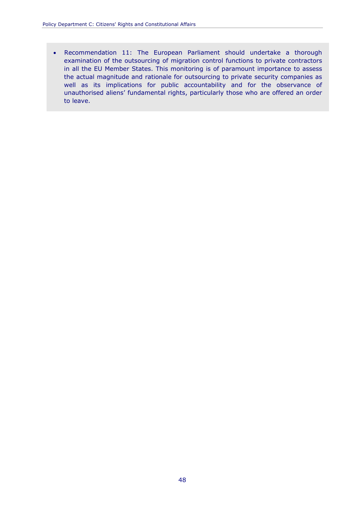Recommendation 11: The European Parliament should undertake a thorough examination of the outsourcing of migration control functions to private contractors in all the EU Member States. This monitoring is of paramount importance to assess the actual magnitude and rationale for outsourcing to private security companies as well as its implications for public accountability and for the observance of unauthorised aliens' fundamental rights, particularly those who are offered an order to leave.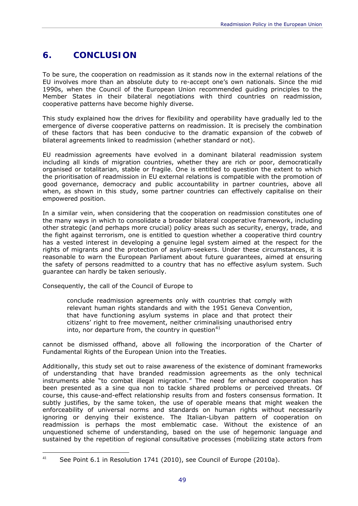## <span id="page-50-0"></span>**6. CONCLUSION**

To be sure, the cooperation on readmission as it stands now in the external relations of the EU involves more than an absolute duty to re-accept one's own nationals. Since the mid 1990s, when the Council of the European Union recommended guiding principles to the Member States in their bilateral negotiations with third countries on readmission, cooperative patterns have become highly diverse.

This study explained how the drives for flexibility and operability have gradually led to the emergence of diverse cooperative patterns on readmission. It is precisely the combination of these factors that has been conducive to the dramatic expansion of the cobweb of bilateral agreements linked to readmission (whether standard or not).

EU readmission agreements have evolved in a dominant bilateral readmission system including all kinds of migration countries, whether they are rich or poor, democratically organised or totalitarian, stable or fragile. One is entitled to question the extent to which the prioritisation of readmission in EU external relations is compatible with the promotion of good governance, democracy and public accountability in partner countries, above all when, as shown in this study, some partner countries can effectively capitalise on their empowered position.

In a similar vein, when considering that the cooperation on readmission constitutes one of the many ways in which to consolidate a broader bilateral cooperative framework, including other strategic (and perhaps more crucial) policy areas such as security, energy, trade, and the fight against terrorism, one is entitled to question whether a cooperative third country has a vested interest in developing a genuine legal system aimed at the respect for the rights of migrants and the protection of asylum-seekers. Under these circumstances, it is reasonable to warn the European Parliament about future guarantees, aimed at ensuring the safety of persons readmitted to a country that has no effective asylum system. Such guarantee can hardly be taken seriously.

Consequently, the call of the Council of Europe to

conclude readmission agreements only with countries that comply with relevant human rights standards and with the 1951 Geneva Convention, that have functioning asylum systems in place and that protect their citizens' right to free movement, neither criminalising unauthorised entry into, nor departure from, the country in question $41$ 

cannot be dismissed offhand, above all following the incorporation of the Charter of Fundamental Rights of the European Union into the Treaties.

Additionally, this study set out to raise awareness of the existence of dominant frameworks of understanding that have branded readmission agreements as the only technical instruments able "to combat illegal migration." The need for enhanced cooperation has been presented as a *sine qua non* to tackle shared problems or perceived threats. Of course, this cause-and-effect relationship results from and fosters consensus formation. It subtly justifies, by the same token, the use of operable means that might weaken the enforceability of universal norms and standards on human rights without necessarily ignoring or denying their existence. The Italian-Libyan pattern of cooperation on readmission is perhaps the most emblematic case. Without the existence of an unquestioned scheme of understanding, based on the use of hegemonic language and sustained by the repetition of regional consultative processes (mobilizing state actors from

<span id="page-50-1"></span> $41$ See Point 6.1 in Resolution 1741 (2010), see Council of Europe (2010a).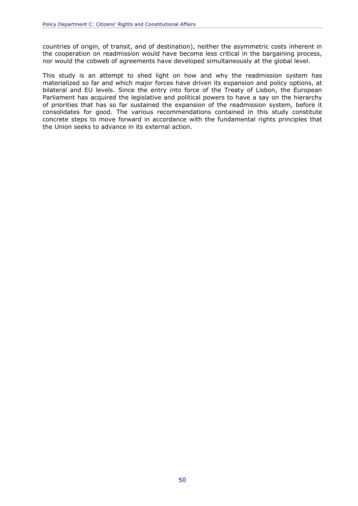countries of origin, of transit, and of destination), neither the asymmetric costs inherent in the cooperation on readmission would have become less critical in the bargaining process, nor would the cobweb of agreements have developed simultaneously at the global level.

This study is an attempt to shed light on how and why the readmission system has materialized so far and which major forces have driven its expansion and policy options, at bilateral and EU levels. Since the entry into force of the Treaty of Lisbon, the European Parliament has acquired the legislative and political powers to have a say on the hierarchy of priorities that has so far sustained the expansion of the readmission system, before it consolidates for good. The various recommendations contained in this study constitute concrete steps to move forward in accordance with the fundamental rights principles that the Union seeks to advance in its external action.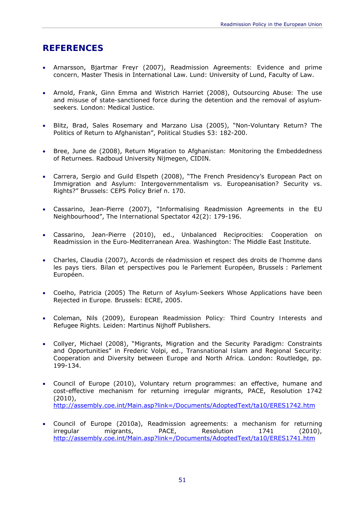## <span id="page-52-0"></span>**REFERENCES**

- Arnarsson, Bjartmar Freyr (2007), *Readmission Agreements: Evidence and prime concern,* Master Thesis in International Law. Lund: University of Lund, Faculty of Law.
- Arnold, Frank, Ginn Emma and Wistrich Harriet (2008), *Outsourcing Abuse: The use and misuse of state-sanctioned force during the detention and the removal of asylumseekers.* London: Medical Justice.
- Blitz, Brad, Sales Rosemary and Marzano Lisa (2005), "Non-Voluntary Return? The Politics of Return to Afghanistan", *Political Studies* 53: 182-200.
- Bree, June de (2008), *Return Migration to Afghanistan: Monitoring the Embeddedness of Returnees.* Radboud University Nijmegen, CIDIN.
- Carrera, Sergio and Guild Elspeth (2008), "The French Presidency's European Pact on Immigration and Asylum: Intergovernmentalism vs. Europeanisation? Security vs. Rights?" Brussels: *CEPS Policy Brief* n. 170.
- Cassarino, Jean-Pierre (2007), "Informalising Readmission Agreements in the EU Neighbourhood", *The International Spectator* 42(2): 179-196.
- Cassarino, Jean-Pierre (2010), ed., *Unbalanced Reciprocities: Cooperation on Readmission in the Euro-Mediterranean Area.* Washington: The Middle East Institute.
- Charles, Claudia (2007), *Accords de réadmission et respect des droits de l'homme dans les pays tiers. Bilan et perspectives pou le Parlement Européen*, Brussels : Parlement Européen.
- Coelho, Patricia (2005) *The Return of Asylum-Seekers Whose Applications have been Rejected in Europe.* Brussels: ECRE, 2005.
- Coleman, Nils (2009), *European Readmission Policy: Third Country Interests and Refugee Rights.* Leiden: Martinus Nijhoff Publishers.
- Collyer, Michael (2008), "Migrants, Migration and the Security Paradigm: Constraints and Opportunities" in Frederic Volpi, ed., *Transnational Islam and Regional Security: Cooperation and Diversity between Europe and North Africa.* London: Routledge, pp. 199-134.
- Council of Europe (2010), Voluntary return programmes: an effective, humane and cost-effective mechanism for returning irregular migrants, PACE, Resolution 1742 (2010), <http://assembly.coe.int/Main.asp?link=/Documents/AdoptedText/ta10/ERES1742.htm>
- Council of Europe (2010a), *Readmission agreements: a mechanism for returning irregular migrants*, PACE, Resolution 1741 (2010), <http://assembly.coe.int/Main.asp?link=/Documents/AdoptedText/ta10/ERES1741.htm>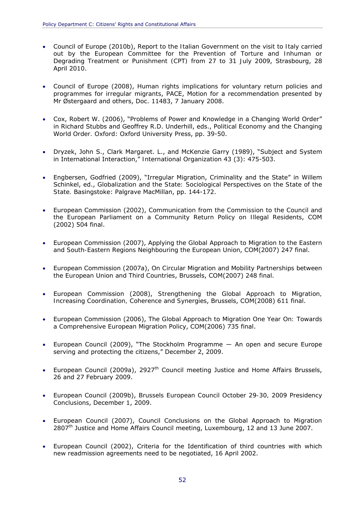- Council of Europe (2010b), *Report to the Italian Government on the visit to Italy carried out by the European Committee for the Prevention of Torture and Inhuman or Degrading Treatment or Punishment (CPT) from 27 to 31 July 2009*, Strasbourg, 28 April 2010.
- Council of Europe (2008), *Human rights implications for voluntary return policies and programmes for irregular migrants*, PACE, Motion for a recommendation presented by Mr Østergaard and others, Doc. 11483, 7 January 2008.
- Cox, Robert W. (2006), "Problems of Power and Knowledge in a Changing World Order" in Richard Stubbs and Geoffrey R.D. Underhill, eds., *Political Economy and the Changing World Order.* Oxford: Oxford University Press, pp. 39-50.
- Dryzek, John S., Clark Margaret. L., and McKenzie Garry (1989), "Subject and System in International Interaction," *International Organization* 43 (3): 475-503.
- Engbersen, Godfried (2009), "Irregular Migration, Criminality and the State" in Willem Schinkel, ed., *Globalization and the State: Sociological Perspectives on the State of the State.* Basingstoke: Palgrave MacMillan, pp. 144-172.
- European Commission (2002), *Communication from the Commission to the Council and the European Parliament on a Community Return Policy on Illegal Residents*, COM (2002) 504 final.
- European Commission (2007), *Applying the Global Approach to Migration to the Eastern and South-Eastern Regions Neighbouring the European Union*, COM(2007) 247 final.
- European Commission (2007a), *On Circular Migration and Mobility Partnerships between the European Union and Third Countries*, Brussels, COM(2007) 248 final.
- European Commission (2008), *Strengthening the Global Approach to Migration, Increasing Coordination, Coherence and Synergies*, Brussels, COM(2008) 611 final.
- European Commission (2006), *The Global Approach to Migration One Year On: Towards a Comprehensive European Migration Policy*, COM(2006) 735 final.
- European Council (2009), "The Stockholm Programme ― An open and secure Europe serving and protecting the citizens," December 2, 2009.
- European Council (2009a), 2927<sup>th</sup> Council meeting Justice and Home Affairs Brussels, 26 and 27 February 2009.
- European Council (2009b), *Brussels European Council October 29-30, 2009 Presidency Conclusions*, December 1, 2009.
- European Council (2007), Council Conclusions on the Global Approach to Migration  $2807<sup>th</sup>$  Justice and Home Affairs Council meeting, Luxembourg, 12 and 13 June 2007.
- European Council (2002), Criteria for the Identification of third countries with which new readmission agreements need to be negotiated, 16 April 2002.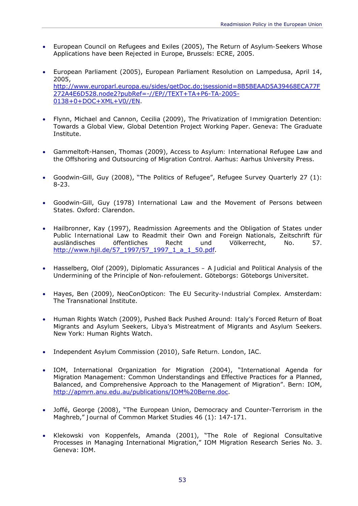- European Council on Refugees and Exiles (2005), *The Return of Asylum-Seekers Whose Applications have been Rejected in Europe*, Brussels: ECRE, 2005.
- European Parliament (2005), European Parliament Resolution on Lampedusa, April 14, 2005, [http://www.europarl.europa.eu/sides/getDoc.do;jsessionid=8B5BEAAD5A39468ECA77F](http://www.europarl.europa.eu/sides/getDoc.do;jsessionid=8B5BEAAD5A39468ECA77F272A4E6D528.node2?pubRef=-//EP//TEXT+TA+P6-TA-2005-0138+0+DOC+XML+V0//EN) [272A4E6D528.node2?pubRef=-//EP//TEXT+TA+P6-TA-2005-](http://www.europarl.europa.eu/sides/getDoc.do;jsessionid=8B5BEAAD5A39468ECA77F272A4E6D528.node2?pubRef=-//EP//TEXT+TA+P6-TA-2005-0138+0+DOC+XML+V0//EN) [0138+0+DOC+XML+V0//EN.](http://www.europarl.europa.eu/sides/getDoc.do;jsessionid=8B5BEAAD5A39468ECA77F272A4E6D528.node2?pubRef=-//EP//TEXT+TA+P6-TA-2005-0138+0+DOC+XML+V0//EN)
- Flynn, Michael and Cannon, Cecilia (2009), *The Privatization of Immigration Detention: Towards a Global View,* Global Detention Project Working Paper. Geneva: The Graduate Institute.
- Gammeltoft-Hansen, Thomas (2009), *Access to Asylum: International Refugee Law and the Offshoring and Outsourcing of Migration Control.* Aarhus: Aarhus University Press.
- Goodwin-Gill, Guy (2008), "The Politics of Refugee", *Refugee Survey Quarterly* 27 (1): 8-23.
- Goodwin-Gill, Guy (1978) *International Law and the Movement of Persons between States.* Oxford: Clarendon.
- Hailbronner, Kay (1997), *Readmission Agreements and the Obligation of States under Public International Law to Readmit their Own and Foreign Nationals*, Zeitschrift für ausländisches öffentliches Recht und Völkerrecht, No. 57. [http://www.hjil.de/57\\_1997/57\\_1997\\_1\\_a\\_1\\_50.pdf.](http://www.hjil.de/57_1997/57_1997_1_a_1_50.pdf)
- Hasselberg, Olof (2009), *Diplomatic Assurances A Judicial and Political Analysis of the Undermining of the Principle of Non-refoulement*. Göteborgs: Göteborgs Universitet.
- Hayes, Ben (2009), *NeoConOpticon: The EU Security-Industrial Complex.* Amsterdam: The Transnational Institute.
- Human Rights Watch (2009), *Pushed Back Pushed Around: Italy's Forced Return of Boat Migrants and Asylum Seekers, Libya's Mistreatment of Migrants and Asylum Seekers.* New York: Human Rights Watch.
- Independent Asylum Commission (2010), *Safe Return.* London, IAC.
- IOM, International Organization for Migration (2004), "International Agenda for Migration Management: Common Understandings and Effective Practices for a Planned, Balanced, and Comprehensive Approach to the Management of Migration". Bern: IOM, <http://apmrn.anu.edu.au/publications/IOM%20Berne.doc>.
- Joffé, George (2008), "The European Union, Democracy and Counter-Terrorism in the Maghreb," *Journal of Common Market Studies* 46 (1): 147-171.
- Klekowski von Koppenfels, Amanda (2001), "The Role of Regional Consultative Processes in Managing International Migration," IOM Migration Research Series No. 3. Geneva: IOM.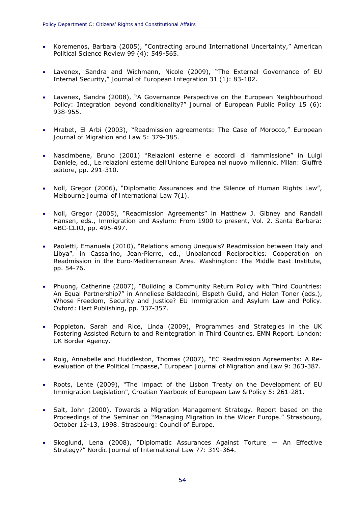- Koremenos, Barbara (2005), "Contracting around International Uncertainty," *American Political Science Review* 99 (4): 549-565.
- Lavenex, Sandra and Wichmann, Nicole (2009), "The External Governance of EU Internal Security," *Journal of European Integration* 31 (1): 83-102.
- Lavenex, Sandra (2008), "A Governance Perspective on the European Neighbourhood Policy: Integration beyond conditionality?" *Journal of European Public Policy* 15 (6): 938-955.
- Mrabet, El Arbi (2003), "Readmission agreements: The Case of Morocco," *European Journal of Migration and Law* 5: 379-385.
- Nascimbene, Bruno (2001) "Relazioni esterne e accordi di riammissione" in Luigi Daniele, ed., *Le relazioni esterne dell'Unione Europea nel nuovo millennio.* Milan: Giuffrè editore, pp. 291-310.
- Noll, Gregor (2006), "Diplomatic Assurances and the Silence of Human Rights Law", *Melbourne Journal of International Law* 7(1).
- Noll, Gregor (2005), "Readmission Agreements" in Matthew J. Gibney and Randall Hansen, eds., *Immigration and Asylum: From 1900 to present*, Vol. 2. Santa Barbara: ABC-CLIO, pp. 495-497.
- Paoletti, Emanuela (2010), "*Relations among Unequals? Readmission between Italy and Libya", in* Cassarino, Jean-Pierre, ed., *Unbalanced Reciprocities: Cooperation on Readmission in the Euro-Mediterranean Area*. Washington: The Middle East Institute, pp. 54-76.
- Phuong, Catherine (2007), "Building a Community Return Policy with Third Countries: An Equal Partnership?" in Anneliese Baldaccini, Elspeth Guild, and Helen Toner (eds.), *Whose Freedom, Security and Justice? EU Immigration and Asylum Law and Policy.*  Oxford: Hart Publishing, pp. 337-357.
- Poppleton, Sarah and Rice, Linda (2009), *Programmes and Strategies in the UK Fostering Assisted Return to and Reintegration in Third Countries, EMN Report.* London: UK Border Agency.
- Roig, Annabelle and Huddleston, Thomas (2007), "EC Readmission Agreements: A Reevaluation of the Political Impasse," *European Journal of Migration and Law* 9: 363-387.
- Roots, Lehte (2009), "*The Impact of the Lisbon Treaty on the Development of EU Immigration Legislation"*, *Croatian Yearbook of European Law & Policy* 5: 261-281.
- Salt, John (2000), *Towards a Migration Management Strategy*. Report based on the Proceedings of the Seminar on "Managing Migration in the Wider Europe." Strasbourg, October 12-13, 1998. Strasbourg: Council of Europe.
- Skoglund, Lena (2008), "Diplomatic Assurances Against Torture An Effective Strategy?" *Nordic Journal of International Law* 77: 319-364.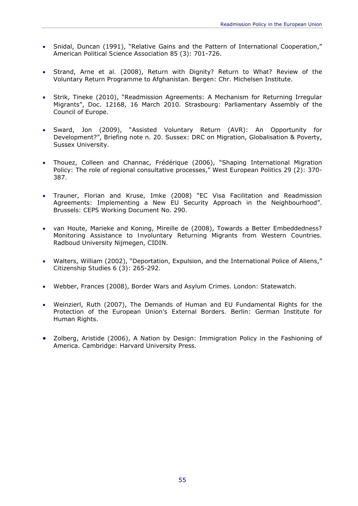- Snidal, Duncan (1991), "Relative Gains and the Pattern of International Cooperation," *American Political Science Association* 85 (3): 701-726.
- Strand, Arne *et al.* (2008), *Return with Dignity? Return to What? Review of the Voluntary Return Programme to Afghanistan.* Bergen: Chr. Michelsen Institute.
- Strik, Tineke (2010), "Readmission Agreements: A Mechanism for Returning Irregular Migrants", Doc. 12168, 16 March 2010. Strasbourg: Parliamentary Assembly of the Council of Europe.
- Sward, Jon (2009), "Assisted Voluntary Return (AVR): An Opportunity for Development?", *Briefing note* n. 20*.* Sussex: DRC on Migration, Globalisation & Poverty, Sussex University.
- Thouez, Colleen and Channac, Frédérique (2006), "Shaping International Migration Policy: The role of regional consultative processes," *West European Politics* 29 (2): 370- 387.
- Trauner, Florian and Kruse, Imke (2008) "EC Visa Facilitation and Readmission Agreements: Implementing a New EU Security Approach in the Neighbourhood". Brussels: *CEPS Working Document* No. 290.
- van Houte, Marieke and Koning, Mireille de (2008), *Towards a Better Embeddedness? Monitoring Assistance to Involuntary Returning Migrants from Western Countries.* Radboud University Nijmegen, CIDIN.
- Walters, William (2002), "Deportation, Expulsion, and the International Police of Aliens," *Citizenship Studies* 6 (3): 265-292.
- Webber, Frances (2008), *Border Wars and Asylum Crimes.* London: Statewatch.
- Weinzierl, Ruth (2007), *The Demands of Human and EU Fundamental Rights for the Protection of the European Union's External Borders.* Berlin: German Institute for Human Rights.
- Zolberg, Aristide (2006), A Nation by Design: Immigration Policy in the Fashioning of America. Cambridge: Harvard University Press.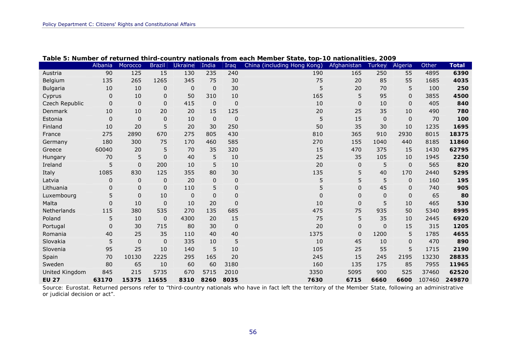| $1$ GMIC $\cup$ . The fill contained to the contact of $\sim$ |             |             |               |                |              |                  | or returned thing country nationals from each member state,<br>.up | 101101101110372007 |                |              |        |              |
|---------------------------------------------------------------|-------------|-------------|---------------|----------------|--------------|------------------|--------------------------------------------------------------------|--------------------|----------------|--------------|--------|--------------|
|                                                               | Albania     | Morocco     | <b>Brazil</b> | <b>Ukraine</b> | India        | Iraq             | China (including Hong Kong)                                        | Afghanistan        | Turkey         | Algeria      | Other  | <b>Total</b> |
| Austria                                                       | 90          | 125         | 15            | 130            | 235          | 240              | 190                                                                | 165                | 250            | 55           | 4895   | 6390         |
| Belgium                                                       | 135         | 265         | 1265          | 345            | 75           | 30               | 75                                                                 | 20                 | 85             | 55           | 1685   | 4035         |
| <b>Bulgaria</b>                                               | 10          | 10          | $\mathbf{0}$  | $\mathbf 0$    | $\mathbf{0}$ | 30               | 5                                                                  | 20                 | 70             | 5            | 100    | 250          |
| Cyprus                                                        | $\mathbf 0$ | 10          | $\mathbf{0}$  | 50             | 310          | 10               | 165                                                                | 5                  | 95             | $\mathbf{0}$ | 3855   | 4500         |
| Czech Republic                                                | $\mathbf 0$ | $\mathbf 0$ | $\Omega$      | 415            | $\mathbf 0$  | $\boldsymbol{0}$ | 10                                                                 | 0                  | 10             | $\mathbf 0$  | 405    | 840          |
| Denmark                                                       | 10          | 10          | 20            | 20             | 15           | 125              | 20                                                                 | 25                 | 35             | 10           | 490    | 780          |
| Estonia                                                       | $\mathbf 0$ | $\mathbf 0$ | $\mathbf 0$   | 10             | $\mathbf 0$  | $\pmb{0}$        | 5                                                                  | 15                 | $\overline{0}$ | $\bf 0$      | 70     | 100          |
| Finland                                                       | 10          | 20          | 5             | 20             | 30           | 250              | 50                                                                 | 35                 | 30             | 10           | 1235   | 1695         |
| France                                                        | 275         | 2890        | 670           | 275            | 805          | 430              | 810                                                                | 365                | 910            | 2930         | 8015   | 18375        |
| Germany                                                       | 180         | 300         | 75            | 170            | 460          | 585              | 270                                                                | 155                | 1040           | 440          | 8185   | 11860        |
| Greece                                                        | 60040       | 20          | 5             | 70             | 35           | 320              | 15                                                                 | 470                | 375            | 15           | 1430   | 62795        |
| Hungary                                                       | 70          | 5           | $\mathbf 0$   | 40             | 5            | 10               | 25                                                                 | 35                 | 105            | 10           | 1945   | 2250         |
| Ireland                                                       | 5           | $\mathbf 0$ | 200           | 10             | 5            | 10               | 20                                                                 | $\mathbf 0$        | 5              | $\mathbf{0}$ | 565    | 820          |
| Italy                                                         | 1085        | 830         | 125           | 355            | 80           | 30               | 135                                                                | 5                  | 40             | 170          | 2440   | 5295         |
| Latvia                                                        | 0           | $\mathbf 0$ | $\mathbf{0}$  | 20             | $\mathbf 0$  | $\boldsymbol{0}$ | 5                                                                  | 5                  | 5              | $\mathbf 0$  | 160    | 195          |
| Lithuania                                                     | 0           | $\mathbf 0$ | $\Omega$      | 110            | 5            | $\boldsymbol{0}$ | 5                                                                  | 0                  | 45             | $\mathbf 0$  | 740    | 905          |
| Luxembourg                                                    | 5           | $\Omega$    | 10            | $\mathbf 0$    | $\mathbf 0$  | $\boldsymbol{0}$ | $\Omega$                                                           | 0                  | $\mathbf 0$    | $\mathbf 0$  | 65     | 80           |
| Malta                                                         | 0           | 10          | $\Omega$      | 10             | 20           | $\mathbf 0$      | 10                                                                 | $\overline{0}$     | 5              | 10           | 465    | 530          |
| Netherlands                                                   | 115         | 380         | 535           | 270            | 135          | 685              | 475                                                                | 75                 | 935            | 50           | 5340   | 8995         |
| Poland                                                        | 5           | 10          | $\mathbf{0}$  | 4300           | 20           | 15               | 75                                                                 | 5                  | 35             | 10           | 2445   | 6920         |
| Portugal                                                      | 0           | 30          | 715           | 80             | 30           | $\mathbf 0$      | 20                                                                 | 0                  | $\Omega$       | 15           | 315    | 1205         |
| Romania                                                       | 40          | 25          | 35            | 110            | 40           | 40               | 1375                                                               | $\Omega$           | 1200           | 5            | 1785   | 4655         |
| Slovakia                                                      | 5           | $\mathbf 0$ | $\Omega$      | 335            | 10           | 5                | 10                                                                 | 45                 | 10             | $\mathbf 0$  | 470    | 890          |
| Slovenia                                                      | 95          | 25          | 10            | 140            | 5            | 10               | 105                                                                | 25                 | 55             | 5            | 1715   | 2190         |
| Spain                                                         | 70          | 10130       | 2225          | 295            | 165          | 20               | 245                                                                | 15                 | 245            | 2195         | 13230  | 28835        |
| Sweden                                                        | 80          | 65          | 10            | 60             | 60           | 3180             | 160                                                                | 135                | 175            | 85           | 7955   | 11965        |
| United Kingdom                                                | 845         | 215         | 5735          | 670            | 5715         | 2010             | 3350                                                               | 5095               | 900            | 525          | 37460  | 62520        |
| <b>EU 27</b>                                                  | 63170       | 15375       | 11655         | 8310           | 8260         | 8035             | 7630                                                               | 6715               | 6660           | 6600         | 107460 | 249870       |

**Table 5: Number of returned third-country nationals from each Member State, top-10 nationalities, 2009**

*Source: Eurostat. Returned persons refer to "third-country nationals who have in fact left the territory of the Member State, following an administrative or judicial decision or act".*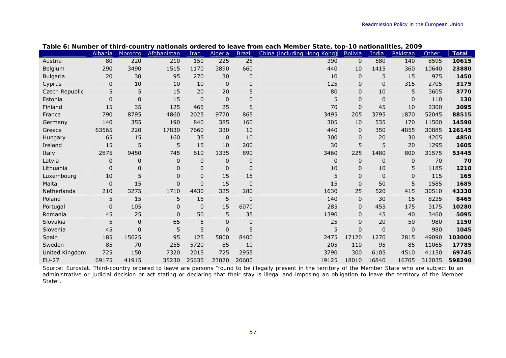|                 | Albania     | Morocco        | Afghanistan | <b>Iraq</b>  | Algeria          | <b>Brazil</b> | China (including Hong Kong) | Bolivia        | India          | Pakistan     | Other  | <b>Total</b> |
|-----------------|-------------|----------------|-------------|--------------|------------------|---------------|-----------------------------|----------------|----------------|--------------|--------|--------------|
| Austria         | 80          | 220            | 210         | 150          | 225              | 25            | 390                         | $\mathbf 0$    | 580            | 140          | 8595   | 10615        |
| Belgium         | 290         | 3490           | 1515        | 1170         | 3890             | 660           | 440                         | 10             | 1415           | 360          | 10640  | 23880        |
| <b>Bulgaria</b> | 20          | 30             | 95          | 270          | 30               | $\mathbf{0}$  | 10                          | $\Omega$       | 5              | 15           | 975    | 1450         |
| Cyprus          | $\mathbf 0$ | 10             | 10          | 10           | $\boldsymbol{0}$ | 0             | 125                         | $\mathbf 0$    | $\mathbf 0$    | 315          | 2705   | 3175         |
| Czech Republic  | 5           | 5              | 15          | 20           | 20               | 5             | 80                          | $\mathbf 0$    | 10             | 5            | 3605   | 3770         |
| Estonia         | $\mathbf 0$ | 0              | 15          | $\mathbf{0}$ | $\mathbf 0$      | 0             | 5                           | $\Omega$       | $\mathbf 0$    | $\mathbf{0}$ | 110    | 130          |
| Finland         | 15          | 35             | 125         | 465          | 25               | 5             | 70                          | $\mathbf 0$    | 45             | 10           | 2300   | 3095         |
| France          | 790         | 8795           | 4860        | 2025         | 9770             | 865           | 3495                        | 205            | 3795           | 1870         | 52045  | 88515        |
| Germany         | 140         | 355            | 190         | 840          | 385              | 160           | 305                         | 10             | 535            | 170          | 11500  | 14590        |
| Greece          | 63565       | 220            | 17830       | 7660         | 330              | 10            | 440                         | 0              | 350            | 4855         | 30885  | 126145       |
| Hungary         | 65          | 15             | 160         | 35           | 10               | 10            | 300                         | $\mathbf 0$    | 20             | 30           | 4205   | 4850         |
| Ireland         | 15          | 5              | 5           | 15           | 10               | 200           | 30                          | 5              | 5              | 20           | 1295   | 1605         |
| Italy           | 2875        | 9450           | 745         | 610          | 1335             | 890           | 3460                        | 225            | 1480           | 800          | 31575  | 53445        |
| Latvia          | 0           | 0              | $\mathbf 0$ | $\mathbf{0}$ | $\mathbf 0$      | 0             | 0                           | $\mathbf 0$    | $\mathbf 0$    | $\mathbf 0$  | 70     | 70           |
| Lithuania       | 0           | 0              | $\Omega$    | $\mathbf{0}$ | $\boldsymbol{0}$ | $\mathbf{0}$  | 10                          | $\mathbf 0$    | 10             | 5            | 1185   | 1210         |
| Luxembourg      | 10          | 5              | $\Omega$    | $\Omega$     | 15               | 15            | 5                           | $\Omega$       | $\overline{0}$ | $\mathbf{0}$ | 115    | 165          |
| Malta           | $\mathbf 0$ | 15             | $\Omega$    | $\Omega$     | 15               | $\mathbf 0$   | 15                          | $\Omega$       | 50             | 5            | 1585   | 1685         |
| Netherlands     | 210         | 3275           | 1710        | 4430         | 325              | 280           | 1630                        | 25             | 520            | 415          | 30510  | 43330        |
| Poland          | 5           | 15             | 5           | 15           | 5                | $\mathbf 0$   | 140                         | $\mathbf 0$    | 30             | 15           | 8235   | 8465         |
| Portugal        | 0           | 105            | $\Omega$    | $\Omega$     | 15               | 6070          | 285                         | 0              | 455            | 175          | 3175   | 10280        |
| Romania         | 45          | 25             | $\Omega$    | 50           | 5                | 35            | 1390                        | $\Omega$       | 45             | 40           | 3460   | 5095         |
| Slovakia        | 5           | $\Omega$       | 65          | 5            | $\mathbf 0$      | 0             | 25                          | $\Omega$       | 20             | 50           | 980    | 1150         |
| Slovenia        | 45          | $\overline{0}$ | 5           | 5            | $\mathbf 0$      | 5             | 5                           | $\overline{0}$ | $\Omega$       | $\mathbf{0}$ | 980    | 1045         |
| Spain           | 185         | 15625          | 95          | 125          | 5800             | 8400          | 2475                        | 17120          | 1270           | 2815         | 49090  | 103000       |
| Sweden          | 85          | 70             | 255         | 5720         | 85               | 10            | 205                         | 110            | 95             | 85           | 11065  | 17785        |
| United Kingdom  | 725         | 150            | 7320        | 2015         | 725              | 2955          | 3790                        | 300            | 6105           | 4510         | 41150  | 69745        |
| <b>EU-27</b>    | 69175       | 41915          | 35230       | 25635        | 23020            | 20600         | 19125                       | 18010          | 16840          | 16705        | 312035 | 598290       |

#### **Table 6: Number of third-country nationals ordered to leave from each Member State, top-10 nationalities, 2009**

*Source: Eurostat. Third-country ordered to leave are persons "found to be illegally present in the territory of the Member State who are subject to an administrative or judicial decision or act stating or declaring that their stay is illegal and imposing an obligation to leave the territory of the Member State".*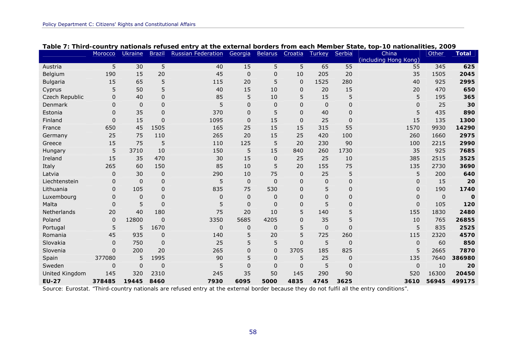|                 | Morocco      | <b>Ukraine</b> | <b>Brazil</b> | Russian Federation | Georgia        | <b>Belarus</b> | Croatia          | Turkey      | Serbia         | China                       | Other    | <b>Total</b> |
|-----------------|--------------|----------------|---------------|--------------------|----------------|----------------|------------------|-------------|----------------|-----------------------------|----------|--------------|
| Austria         | 5            | 30             | 5             | 40                 | 15             | 5              | 5                | 65          | 55             | (including Hong Kong)<br>55 | 345      | 625          |
| Belgium         | 190          | 15             | 20            | 45                 | $\Omega$       | $\mathbf{0}$   | 10               | 205         | 20             | 35                          | 1505     | 2045         |
| <b>Bulgaria</b> | 15           | 65             | 5             | 115                | 20             | 5              | $\boldsymbol{0}$ | 1525        | 280            | 40                          | 925      | 2995         |
| Cyprus          | 5            | 50             | 5             | 40                 | 15             | 10             | $\mathbf 0$      | 20          | 15             | 20                          | 470      | 650          |
| Czech Republic  | 0            | 40             | 0             | 85                 | 5              | 10             | 5                | 15          | 5              | 5                           | 195      | 365          |
| Denmark         | 0            | $\Omega$       | 0             | 5                  | $\Omega$       | $\Omega$       | $\Omega$         | $\Omega$    | $\overline{0}$ | 0                           | 25       | 30           |
| Estonia         | 0            | 35             | $\Omega$      | 370                | $\overline{0}$ | 5              | $\mathbf 0$      | 40          | $\overline{0}$ | 5                           | 435      | 890          |
| Finland         | 0            | 15             | 0             | 1095               | $\overline{0}$ | 15             | $\mathbf 0$      | 25          | 0              | 15                          | 135      | 1300         |
| France          | 650          | 45             | 1505          | 165                | 25             | 15             | 15               | 315         | 55             | 1570                        | 9930     | 14290        |
| Germany         | 25           | 75             | 110           | 265                | 20             | 15             | 25               | 420         | 100            | 260                         | 1660     | 2975         |
| Greece          | 15           | 75             | 5             | 110                | 125            | 5              | 20               | 230         | 90             | 100                         | 2215     | 2990         |
| Hungary         | 5            | 3710           | 10            | 150                | 5              | 15             | 840              | 260         | 1730           | 35                          | 925      | 7685         |
| Ireland         | 15           | 35             | 470           | 30                 | 15             | $\mathbf{0}$   | 25               | 25          | 10             | 385                         | 2515     | 3525         |
| Italy           | 265          | 60             | 150           | 85                 | 10             | 5              | 20               | 155         | 75             | 135                         | 2730     | 3690         |
| Latvia          | 0            | 30             | 0             | 290                | 10             | 75             | $\mathbf 0$      | 25          | 5              | 5                           | 200      | 640          |
| Liechtenstein   | 0            | $\overline{0}$ | 0             | 5                  | $\mathbf 0$    | $\mathbf 0$    | 0                | 0           | 0              | 0                           | 15       | 20           |
| Lithuania       | 0            | 105            | 0             | 835                | 75             | 530            | $\mathbf 0$      | 5           | 0              | 0                           | 190      | 1740         |
| Luxembourg      | 0            | $\Omega$       | 0             | 0                  | $\Omega$       | $\mathbf 0$    | $\mathbf{0}$     | 0           | $\overline{0}$ | 0                           | $\Omega$ | $\Omega$     |
| Malta           | $\Omega$     | 5              | 0             | 5                  | $\Omega$       | $\mathbf 0$    | $\mathbf 0$      | 5           | $\overline{0}$ | $\Omega$                    | 105      | 120          |
| Netherlands     | 20           | 40             | 180           | 75                 | 20             | 10             | 5                | 140         | 5              | 155                         | 1830     | 2480         |
| Poland          | 0            | 12800          | 0             | 3350               | 5685           | 4205           | 0                | 35          | 5              | 10                          | 765      | 26855        |
| Portugal        | 5            | 5              | 1670          | 0                  | $\mathbf 0$    | $\mathbf 0$    | 5                | $\mathbf 0$ | $\mathbf{0}$   | 5                           | 835      | 2525         |
| Romania         | 45           | 935            | 0             | 140                | 5              | 20             | 5                | 725         | 260            | 115                         | 2320     | 4570         |
| Slovakia        | $\mathbf{0}$ | 750            | 0             | 25                 | 5              | 5              | $\Omega$         | 5           | $\mathbf 0$    | $\mathbf 0$                 | 60       | 850          |
| Slovenia        | 0            | 200            | 20            | 265                | 0              | 0              | 3705             | 185         | 825            | 5                           | 2665     | 7870         |
| Spain           | 377080       | 5              | 1995          | 90                 | 5              | $\mathbf{0}$   | 5                | 25          | $\overline{0}$ | 135                         | 7640     | 386980       |
| Sweden          | 0            | $\mathbf 0$    | 0             | 5                  | $\overline{0}$ | $\mathbf 0$    | $\mathbf 0$      | 5           | $\overline{0}$ | $\overline{0}$              | 10       | 20           |
| United Kingdom  | 145          | 320            | 2310          | 245                | 35             | 50             | 145              | 290         | 90             | 520                         | 16300    | 20450        |
| <b>EU-27</b>    | 378485       | 19445          | 8460          | 7930               | 6095           | 5000           | 4835             | 4745        | 3625           | 3610                        | 56945    | 499175       |

#### **Table 7: Third-country nationals refused entry at the external borders from each Member State, top-10 nationalities, 2009**

*Source: Eurostat. "Third-country nationals are refused entry at the external border because they do not fulfil all the entry conditions".*